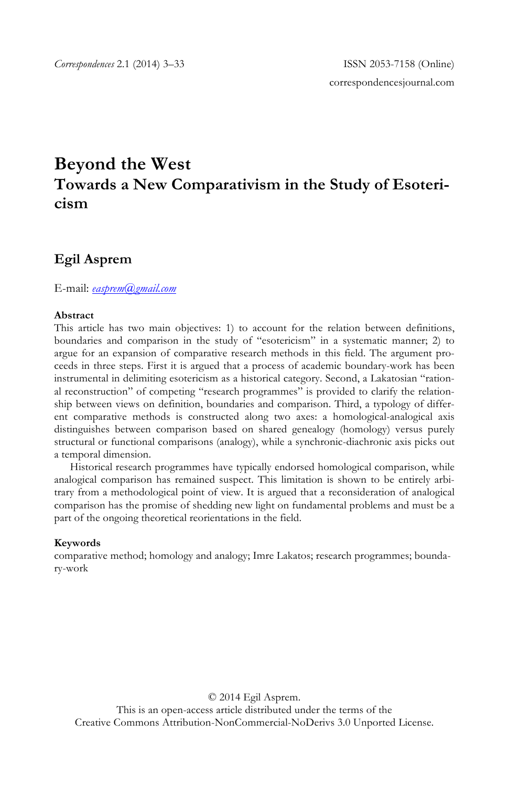# **Beyond the West Towards a New Comparativism in the Study of Esotericism**

# **Egil Asprem**

E-mail: *easprem@gmail.com*

#### **Abstract**

This article has two main objectives: 1) to account for the relation between definitions, boundaries and comparison in the study of "esotericism" in a systematic manner; 2) to argue for an expansion of comparative research methods in this field. The argument proceeds in three steps. First it is argued that a process of academic boundary-work has been instrumental in delimiting esotericism as a historical category. Second, a Lakatosian "rational reconstruction" of competing "research programmes" is provided to clarify the relationship between views on definition, boundaries and comparison. Third, a typology of different comparative methods is constructed along two axes: a homological-analogical axis distinguishes between comparison based on shared genealogy (homology) versus purely structural or functional comparisons (analogy), while a synchronic-diachronic axis picks out a temporal dimension.

Historical research programmes have typically endorsed homological comparison, while analogical comparison has remained suspect. This limitation is shown to be entirely arbitrary from a methodological point of view. It is argued that a reconsideration of analogical comparison has the promise of shedding new light on fundamental problems and must be a part of the ongoing theoretical reorientations in the field.

#### **Keywords**

comparative method; homology and analogy; Imre Lakatos; research programmes; boundary-work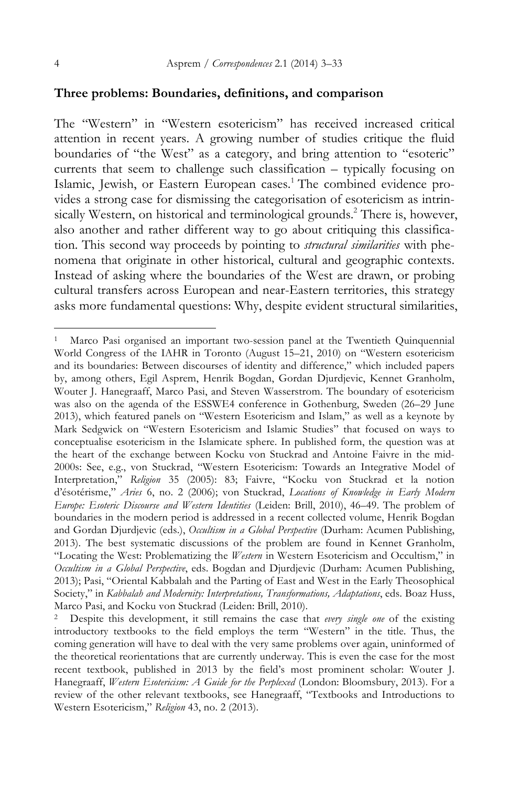#### **Three problems: Boundaries, definitions, and comparison**

The "Western" in "Western esotericism" has received increased critical attention in recent years. A growing number of studies critique the fluid boundaries of "the West" as a category, and bring attention to "esoteric" currents that seem to challenge such classification – typically focusing on Islamic, Jewish, or Eastern European cases.<sup>1</sup> The combined evidence provides a strong case for dismissing the categorisation of esotericism as intrinsically Western, on historical and terminological grounds.<sup>2</sup> There is, however, also another and rather different way to go about critiquing this classification. This second way proceeds by pointing to *structural similarities* with phenomena that originate in other historical, cultural and geographic contexts. Instead of asking where the boundaries of the West are drawn, or probing cultural transfers across European and near-Eastern territories, this strategy asks more fundamental questions: Why, despite evident structural similarities,

Marco Pasi organised an important two-session panel at the Twentieth Quinquennial World Congress of the IAHR in Toronto (August 15–21, 2010) on "Western esotericism and its boundaries: Between discourses of identity and difference," which included papers by, among others, Egil Asprem, Henrik Bogdan, Gordan Djurdjevic, Kennet Granholm, Wouter J. Hanegraaff, Marco Pasi, and Steven Wasserstrom. The boundary of esotericism was also on the agenda of the ESSWE4 conference in Gothenburg, Sweden (26–29 June 2013), which featured panels on "Western Esotericism and Islam," as well as a keynote by Mark Sedgwick on "Western Esotericism and Islamic Studies" that focused on ways to conceptualise esotericism in the Islamicate sphere. In published form, the question was at the heart of the exchange between Kocku von Stuckrad and Antoine Faivre in the mid-2000s: See, e.g., von Stuckrad, "Western Esotericism: Towards an Integrative Model of Interpretation," *Religion* 35 (2005): 83; Faivre, "Kocku von Stuckrad et la notion d'ésotérisme," *Aries* 6, no. 2 (2006); von Stuckrad, *Locations of Knowledge in Early Modern Europe: Esoteric Discourse and Western Identities* (Leiden: Brill, 2010), 46–49. The problem of boundaries in the modern period is addressed in a recent collected volume, Henrik Bogdan and Gordan Djurdjevic (eds.), *Occultism in a Global Perspective* (Durham: Acumen Publishing, 2013). The best systematic discussions of the problem are found in Kennet Granholm, "Locating the West: Problematizing the *Western* in Western Esotericism and Occultism," in *Occultism in a Global Perspective*, eds. Bogdan and Djurdjevic (Durham: Acumen Publishing, 2013); Pasi, "Oriental Kabbalah and the Parting of East and West in the Early Theosophical Society," in *Kabbalah and Modernity: Interpretations, Transformations, Adaptations*, eds. Boaz Huss, Marco Pasi, and Kocku von Stuckrad (Leiden: Brill, 2010).

<sup>2</sup> Despite this development, it still remains the case that *every single one* of the existing introductory textbooks to the field employs the term "Western" in the title. Thus, the coming generation will have to deal with the very same problems over again, uninformed of the theoretical reorientations that are currently underway. This is even the case for the most recent textbook, published in 2013 by the field's most prominent scholar: Wouter J. Hanegraaff, *Western Esotericism: A Guide for the Perplexed* (London: Bloomsbury, 2013). For a review of the other relevant textbooks, see Hanegraaff, "Textbooks and Introductions to Western Esotericism," *Religion* 43, no. 2 (2013).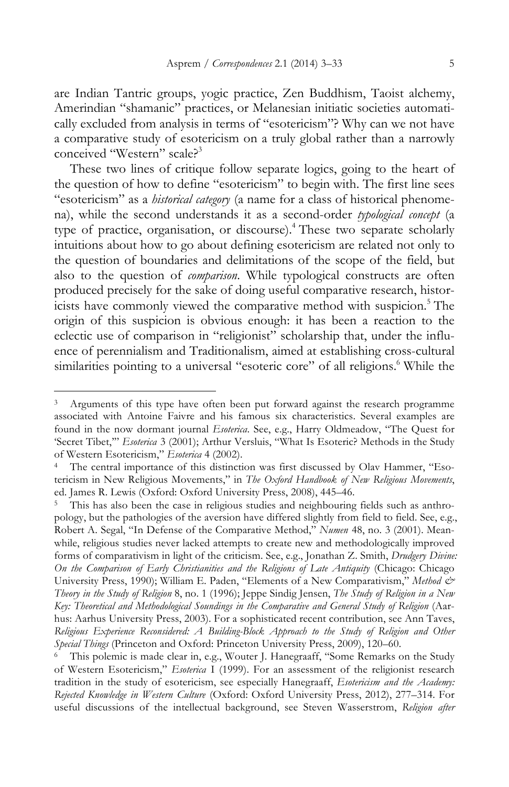are Indian Tantric groups, yogic practice, Zen Buddhism, Taoist alchemy, Amerindian "shamanic" practices, or Melanesian initiatic societies automatically excluded from analysis in terms of "esotericism"? Why can we not have a comparative study of esotericism on a truly global rather than a narrowly conceived "Western" scale?<sup>3</sup>

These two lines of critique follow separate logics, going to the heart of the question of how to define "esotericism" to begin with. The first line sees "esotericism" as a *historical category* (a name for a class of historical phenomena), while the second understands it as a second-order *typological concept* (a type of practice, organisation, or discourse).<sup>4</sup> These two separate scholarly intuitions about how to go about defining esotericism are related not only to the question of boundaries and delimitations of the scope of the field, but also to the question of *comparison*. While typological constructs are often produced precisely for the sake of doing useful comparative research, historicists have commonly viewed the comparative method with suspicion.<sup>5</sup> The origin of this suspicion is obvious enough: it has been a reaction to the eclectic use of comparison in "religionist" scholarship that, under the influence of perennialism and Traditionalism, aimed at establishing cross-cultural similarities pointing to a universal "esoteric core" of all religions.<sup>6</sup> While the

Arguments of this type have often been put forward against the research programme associated with Antoine Faivre and his famous six characteristics. Several examples are found in the now dormant journal *Esoterica*. See, e.g., Harry Oldmeadow, "The Quest for 'Secret Tibet,'" *Esoterica* 3 (2001); Arthur Versluis, "What Is Esoteric? Methods in the Study of Western Esotericism," *Esoterica* 4 (2002).

The central importance of this distinction was first discussed by Olav Hammer, "Esotericism in New Religious Movements," in *The Oxford Handbook of New Religious Movements*, ed. James R. Lewis (Oxford: Oxford University Press, 2008), 445–46.

This has also been the case in religious studies and neighbouring fields such as anthropology, but the pathologies of the aversion have differed slightly from field to field. See, e.g., Robert A. Segal, "In Defense of the Comparative Method," *Numen* 48, no. 3 (2001). Meanwhile, religious studies never lacked attempts to create new and methodologically improved forms of comparativism in light of the criticism. See, e.g., Jonathan Z. Smith, *Drudgery Divine: On the Comparison of Early Christianities and the Religions of Late Antiquity* (Chicago: Chicago University Press, 1990); William E. Paden, "Elements of a New Comparativism," *Method & Theory in the Study of Religion* 8, no. 1 (1996); Jeppe Sindig Jensen, *The Study of Religion in a New*  Key: Theoretical and Methodological Soundings in the Comparative and General Study of Religion (Aarhus: Aarhus University Press, 2003). For a sophisticated recent contribution, see Ann Taves, *Religious Experience Reconsidered: A Building-Block Approach to the Study of Religion and Other Special Things* (Princeton and Oxford: Princeton University Press, 2009), 120–60.

This polemic is made clear in, e.g., Wouter J. Hanegraaff, "Some Remarks on the Study of Western Esotericism," *Esoterica* I (1999). For an assessment of the religionist research tradition in the study of esotericism, see especially Hanegraaff, *Esotericism and the Academy: Rejected Knowledge in Western Culture* (Oxford: Oxford University Press, 2012), 277–314. For useful discussions of the intellectual background, see Steven Wasserstrom, *Religion after*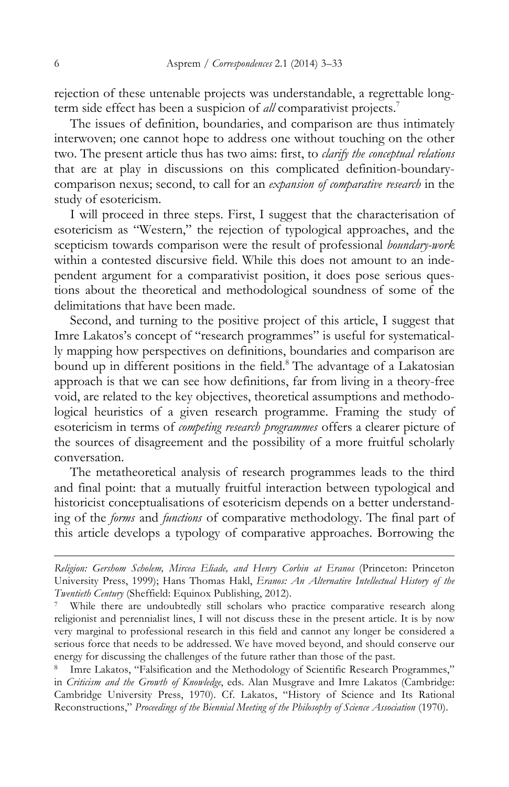rejection of these untenable projects was understandable, a regrettable longterm side effect has been a suspicion of *all* comparativist projects.7

The issues of definition, boundaries, and comparison are thus intimately interwoven; one cannot hope to address one without touching on the other two. The present article thus has two aims: first, to *clarify the conceptual relations*  that are at play in discussions on this complicated definition-boundarycomparison nexus; second, to call for an *expansion of comparative research* in the study of esotericism.

I will proceed in three steps. First, I suggest that the characterisation of esotericism as "Western," the rejection of typological approaches, and the scepticism towards comparison were the result of professional *boundary-work*  within a contested discursive field. While this does not amount to an independent argument for a comparativist position, it does pose serious questions about the theoretical and methodological soundness of some of the delimitations that have been made.

Second, and turning to the positive project of this article, I suggest that Imre Lakatos's concept of "research programmes" is useful for systematically mapping how perspectives on definitions, boundaries and comparison are bound up in different positions in the field.<sup>8</sup> The advantage of a Lakatosian approach is that we can see how definitions, far from living in a theory-free void, are related to the key objectives, theoretical assumptions and methodological heuristics of a given research programme. Framing the study of esotericism in terms of *competing research programmes* offers a clearer picture of the sources of disagreement and the possibility of a more fruitful scholarly conversation.

The metatheoretical analysis of research programmes leads to the third and final point: that a mutually fruitful interaction between typological and historicist conceptualisations of esotericism depends on a better understanding of the *forms* and *functions* of comparative methodology. The final part of this article develops a typology of comparative approaches. Borrowing the

*Religion: Gershom Scholem, Mircea Eliade, and Henry Corbin at Eranos* (Princeton: Princeton University Press, 1999); Hans Thomas Hakl, *Eranos: An Alternative Intellectual History of the Twentieth Century* (Sheffield: Equinox Publishing, 2012).

<sup>7</sup> While there are undoubtedly still scholars who practice comparative research along religionist and perennialist lines, I will not discuss these in the present article. It is by now very marginal to professional research in this field and cannot any longer be considered a serious force that needs to be addressed. We have moved beyond, and should conserve our energy for discussing the challenges of the future rather than those of the past.

<sup>8</sup> Imre Lakatos, "Falsification and the Methodology of Scientific Research Programmes," in *Criticism and the Growth of Knowledge*, eds. Alan Musgrave and Imre Lakatos (Cambridge: Cambridge University Press, 1970). Cf. Lakatos, "History of Science and Its Rational Reconstructions," *Proceedings of the Biennial Meeting of the Philosophy of Science Association* (1970).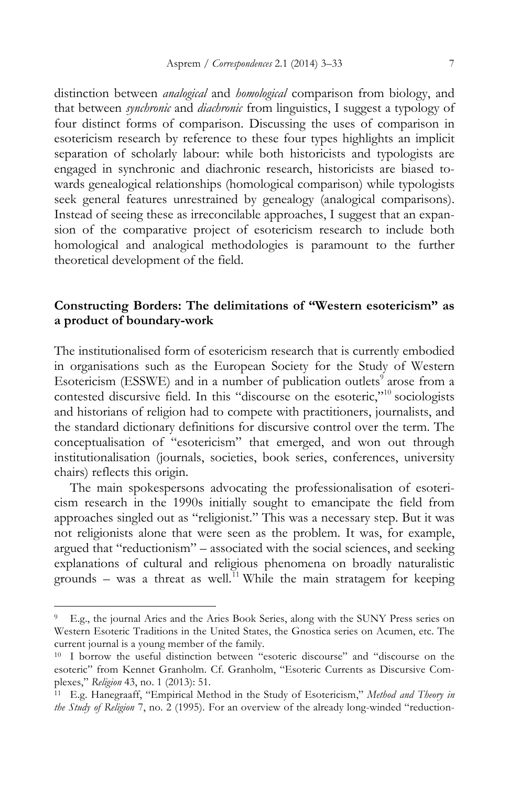distinction between *analogical* and *homological* comparison from biology, and that between *synchronic* and *diachronic* from linguistics, I suggest a typology of four distinct forms of comparison. Discussing the uses of comparison in esotericism research by reference to these four types highlights an implicit separation of scholarly labour: while both historicists and typologists are engaged in synchronic and diachronic research, historicists are biased towards genealogical relationships (homological comparison) while typologists seek general features unrestrained by genealogy (analogical comparisons). Instead of seeing these as irreconcilable approaches, I suggest that an expansion of the comparative project of esotericism research to include both homological and analogical methodologies is paramount to the further theoretical development of the field.

# **Constructing Borders: The delimitations of "Western esotericism" as a product of boundary-work**

The institutionalised form of esotericism research that is currently embodied in organisations such as the European Society for the Study of Western Esotericism (ESSWE) and in a number of publication outlets<sup>9</sup> arose from a contested discursive field. In this "discourse on the esoteric,"<sup>10</sup> sociologists and historians of religion had to compete with practitioners, journalists, and the standard dictionary definitions for discursive control over the term. The conceptualisation of "esotericism" that emerged, and won out through institutionalisation (journals, societies, book series, conferences, university chairs) reflects this origin.

The main spokespersons advocating the professionalisation of esotericism research in the 1990s initially sought to emancipate the field from approaches singled out as "religionist." This was a necessary step. But it was not religionists alone that were seen as the problem. It was, for example, argued that "reductionism" – associated with the social sciences, and seeking explanations of cultural and religious phenomena on broadly naturalistic grounds – was a threat as well.<sup>11</sup> While the main stratagem for keeping

<sup>9</sup> E.g., the journal Aries and the Aries Book Series, along with the SUNY Press series on Western Esoteric Traditions in the United States, the Gnostica series on Acumen, etc. The current journal is a young member of the family.

<sup>10</sup> I borrow the useful distinction between "esoteric discourse" and "discourse on the esoteric" from Kennet Granholm. Cf. Granholm, "Esoteric Currents as Discursive Complexes," *Religion* 43, no. 1 (2013): 51.

<sup>11</sup> E.g. Hanegraaff, "Empirical Method in the Study of Esotericism," *Method and Theory in the Study of Religion* 7, no. 2 (1995). For an overview of the already long-winded "reduction-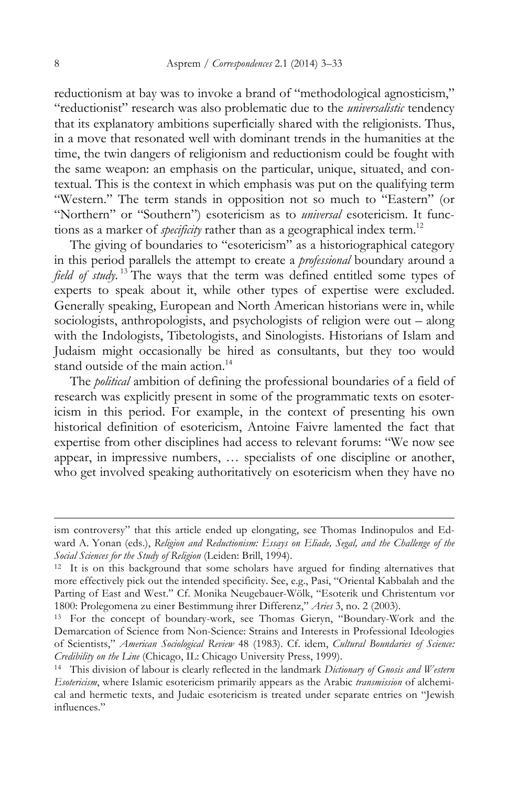reductionism at bay was to invoke a brand of "methodological agnosticism," "reductionist" research was also problematic due to the *universalistic* tendency that its explanatory ambitions superficially shared with the religionists. Thus, in a move that resonated well with dominant trends in the humanities at the time, the twin dangers of religionism and reductionism could be fought with the same weapon: an emphasis on the particular, unique, situated, and contextual. This is the context in which emphasis was put on the qualifying term "Western." The term stands in opposition not so much to "Eastern" (or "Northern" or "Southern") esotericism as to *universal* esotericism. It functions as a marker of *specificity* rather than as a geographical index term.<sup>12</sup>

The giving of boundaries to "esotericism" as a historiographical category in this period parallels the attempt to create a *professional* boundary around a *field of study*. <sup>13</sup> The ways that the term was defined entitled some types of experts to speak about it, while other types of expertise were excluded. Generally speaking, European and North American historians were in, while sociologists, anthropologists, and psychologists of religion were out – along with the Indologists, Tibetologists, and Sinologists. Historians of Islam and Judaism might occasionally be hired as consultants, but they too would stand outside of the main action.<sup>14</sup>

The *political* ambition of defining the professional boundaries of a field of research was explicitly present in some of the programmatic texts on esotericism in this period. For example, in the context of presenting his own historical definition of esotericism, Antoine Faivre lamented the fact that expertise from other disciplines had access to relevant forums: "We now see appear, in impressive numbers, … specialists of one discipline or another, who get involved speaking authoritatively on esotericism when they have no

ism controversy" that this article ended up elongating, see Thomas Indinopulos and Edward A. Yonan (eds.), *Religion and Reductionism: Essays on Eliade, Segal, and the Challenge of the Social Sciences for the Study of Religion* (Leiden: Brill, 1994).

<sup>&</sup>lt;sup>12</sup> It is on this background that some scholars have argued for finding alternatives that more effectively pick out the intended specificity. See, e.g., Pasi, "Oriental Kabbalah and the Parting of East and West." Cf. Monika Neugebauer-Wölk, "Esoterik und Christentum vor 1800: Prolegomena zu einer Bestimmung ihrer Differenz," *Aries* 3, no. 2 (2003). 13 For the concept of boundary-work, see Thomas Gieryn, "Boundary-Work and the

Demarcation of Science from Non-Science: Strains and Interests in Professional Ideologies of Scientists," *American Sociological Review* 48 (1983). Cf. idem, *Cultural Boundaries of Science: Credibility on the Line* (Chicago, IL: Chicago University Press, 1999). 14 This division of labour is clearly reflected in the landmark *Dictionary of Gnosis and Western* 

*Esotericism*, where Islamic esotericism primarily appears as the Arabic *transmission* of alchemical and hermetic texts, and Judaic esotericism is treated under separate entries on "Jewish influences."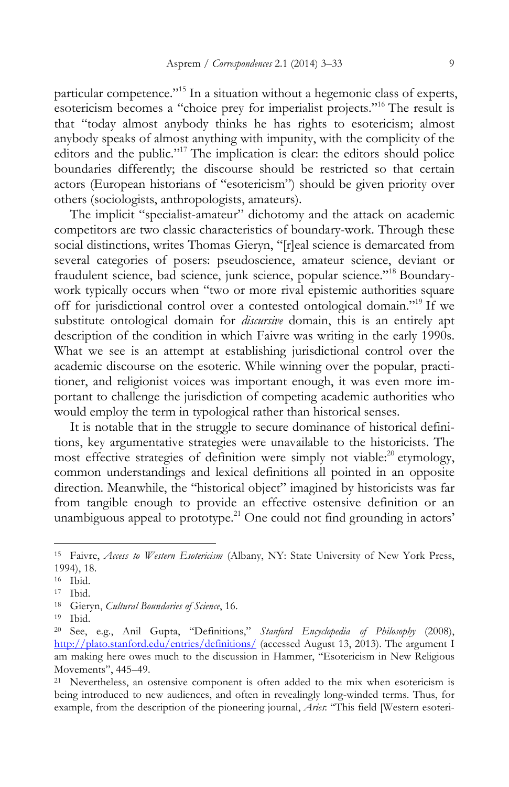particular competence."15 In a situation without a hegemonic class of experts, esotericism becomes a "choice prey for imperialist projects."16 The result is that "today almost anybody thinks he has rights to esotericism; almost anybody speaks of almost anything with impunity, with the complicity of the editors and the public."17 The implication is clear: the editors should police boundaries differently; the discourse should be restricted so that certain actors (European historians of "esotericism") should be given priority over others (sociologists, anthropologists, amateurs).

The implicit "specialist-amateur" dichotomy and the attack on academic competitors are two classic characteristics of boundary-work. Through these social distinctions, writes Thomas Gieryn, "[r]eal science is demarcated from several categories of posers: pseudoscience, amateur science, deviant or fraudulent science, bad science, junk science, popular science."18 Boundarywork typically occurs when "two or more rival epistemic authorities square off for jurisdictional control over a contested ontological domain."19 If we substitute ontological domain for *discursive* domain, this is an entirely apt description of the condition in which Faivre was writing in the early 1990s. What we see is an attempt at establishing jurisdictional control over the academic discourse on the esoteric. While winning over the popular, practitioner, and religionist voices was important enough, it was even more important to challenge the jurisdiction of competing academic authorities who would employ the term in typological rather than historical senses.

It is notable that in the struggle to secure dominance of historical definitions, key argumentative strategies were unavailable to the historicists. The most effective strategies of definition were simply not viable:<sup>20</sup> etymology, common understandings and lexical definitions all pointed in an opposite direction. Meanwhile, the "historical object" imagined by historicists was far from tangible enough to provide an effective ostensive definition or an unambiguous appeal to prototype.<sup>21</sup> One could not find grounding in actors'

<sup>15</sup> Faivre, *Access to Western Esotericism* (Albany, NY: State University of New York Press, 1994), 18.

<sup>16</sup> Ibid.

<sup>17</sup> Ibid.

<sup>18</sup> Gieryn, *Cultural Boundaries of Science*, 16.

<sup>19</sup> Ibid.

<sup>20</sup> See, e.g., Anil Gupta, "Definitions," *Stanford Encyclopedia of Philosophy* (2008), http://plato.stanford.edu/entries/definitions/ (accessed August 13, 2013). The argument I am making here owes much to the discussion in Hammer, "Esotericism in New Religious Movements", 445–49.<br><sup>21</sup> Nevertheless, an ostensive component is often added to the mix when esotericism is

being introduced to new audiences, and often in revealingly long-winded terms. Thus, for example, from the description of the pioneering journal, *Aries*: "This field [Western esoteri-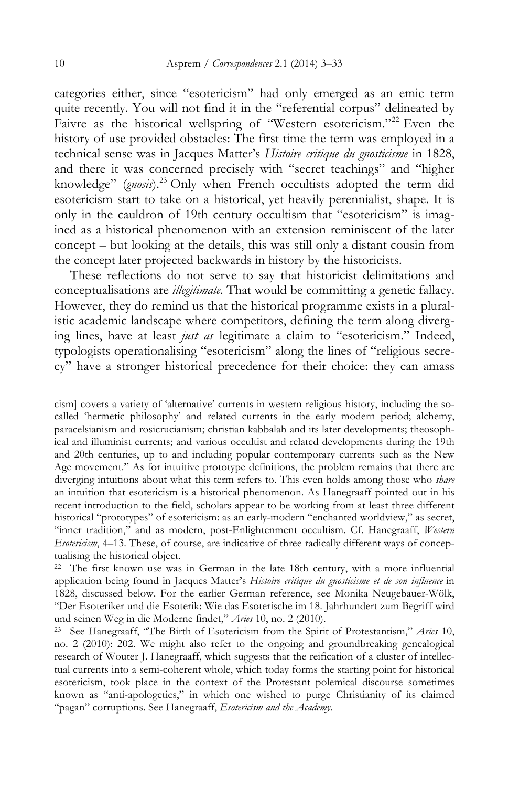categories either, since "esotericism" had only emerged as an emic term quite recently. You will not find it in the "referential corpus" delineated by Faivre as the historical wellspring of "Western esotericism."<sup>22</sup> Even the history of use provided obstacles: The first time the term was employed in a technical sense was in Jacques Matter's *Histoire critique du gnosticisme* in 1828, and there it was concerned precisely with "secret teachings" and "higher knowledge" (*gnosis*).<sup>23</sup> Only when French occultists adopted the term did esotericism start to take on a historical, yet heavily perennialist, shape. It is only in the cauldron of 19th century occultism that "esotericism" is imagined as a historical phenomenon with an extension reminiscent of the later concept – but looking at the details, this was still only a distant cousin from the concept later projected backwards in history by the historicists.

These reflections do not serve to say that historicist delimitations and conceptualisations are *illegitimate*. That would be committing a genetic fallacy. However, they do remind us that the historical programme exists in a pluralistic academic landscape where competitors, defining the term along diverging lines, have at least *just as* legitimate a claim to "esotericism." Indeed, typologists operationalising "esotericism" along the lines of "religious secrecy" have a stronger historical precedence for their choice: they can amass

cism] covers a variety of 'alternative' currents in western religious history, including the socalled 'hermetic philosophy' and related currents in the early modern period; alchemy, paracelsianism and rosicrucianism; christian kabbalah and its later developments; theosophical and illuminist currents; and various occultist and related developments during the 19th and 20th centuries, up to and including popular contemporary currents such as the New Age movement." As for intuitive prototype definitions, the problem remains that there are diverging intuitions about what this term refers to. This even holds among those who *share*  an intuition that esotericism is a historical phenomenon. As Hanegraaff pointed out in his recent introduction to the field, scholars appear to be working from at least three different historical "prototypes" of esotericism: as an early-modern "enchanted worldview," as secret, "inner tradition," and as modern, post-Enlightenment occultism. Cf. Hanegraaff, *Western Esotericism*, 4–13. These, of course, are indicative of three radically different ways of conceptualising the historical object.

 $22$  The first known use was in German in the late 18th century, with a more influential application being found in Jacques Matter's *Histoire critique du gnosticisme et de son influence* in 1828, discussed below. For the earlier German reference, see Monika Neugebauer-Wölk, "Der Esoteriker und die Esoterik: Wie das Esoterische im 18. Jahrhundert zum Begriff wird und seinen Weg in die Moderne findet," *Aries* 10, no. 2 (2010).

<sup>23</sup> See Hanegraaff, "The Birth of Esotericism from the Spirit of Protestantism," *Aries* 10, no. 2 (2010): 202. We might also refer to the ongoing and groundbreaking genealogical research of Wouter J. Hanegraaff, which suggests that the reification of a cluster of intellectual currents into a semi-coherent whole, which today forms the starting point for historical esotericism, took place in the context of the Protestant polemical discourse sometimes known as "anti-apologetics," in which one wished to purge Christianity of its claimed "pagan" corruptions. See Hanegraaff, *Esotericism and the Academy*.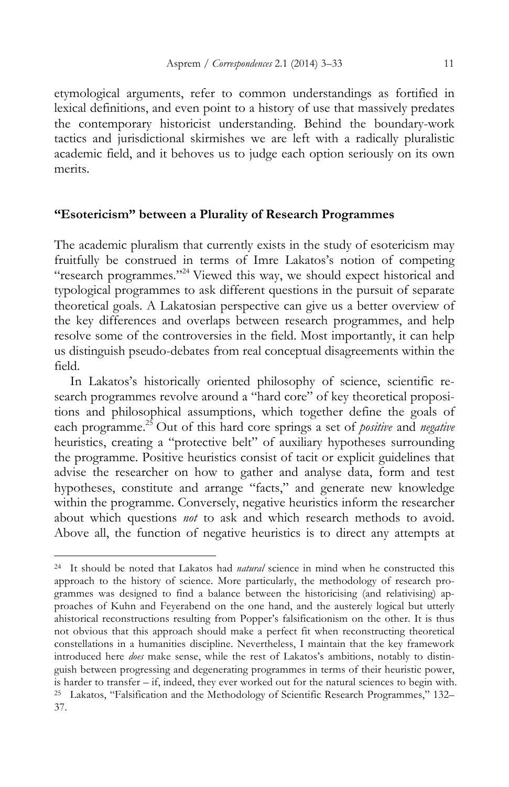etymological arguments, refer to common understandings as fortified in lexical definitions, and even point to a history of use that massively predates the contemporary historicist understanding. Behind the boundary-work tactics and jurisdictional skirmishes we are left with a radically pluralistic academic field, and it behoves us to judge each option seriously on its own merits.

#### **"Esotericism" between a Plurality of Research Programmes**

The academic pluralism that currently exists in the study of esotericism may fruitfully be construed in terms of Imre Lakatos's notion of competing "research programmes."24 Viewed this way, we should expect historical and typological programmes to ask different questions in the pursuit of separate theoretical goals. A Lakatosian perspective can give us a better overview of the key differences and overlaps between research programmes, and help resolve some of the controversies in the field. Most importantly, it can help us distinguish pseudo-debates from real conceptual disagreements within the field.

In Lakatos's historically oriented philosophy of science, scientific research programmes revolve around a "hard core" of key theoretical propositions and philosophical assumptions, which together define the goals of each programme.<sup>25</sup> Out of this hard core springs a set of *positive* and *negative* heuristics, creating a "protective belt" of auxiliary hypotheses surrounding the programme. Positive heuristics consist of tacit or explicit guidelines that advise the researcher on how to gather and analyse data, form and test hypotheses, constitute and arrange "facts," and generate new knowledge within the programme. Conversely, negative heuristics inform the researcher about which questions *not* to ask and which research methods to avoid. Above all, the function of negative heuristics is to direct any attempts at

<sup>24</sup> It should be noted that Lakatos had *natural* science in mind when he constructed this approach to the history of science. More particularly, the methodology of research programmes was designed to find a balance between the historicising (and relativising) approaches of Kuhn and Feyerabend on the one hand, and the austerely logical but utterly ahistorical reconstructions resulting from Popper's falsificationism on the other. It is thus not obvious that this approach should make a perfect fit when reconstructing theoretical constellations in a humanities discipline. Nevertheless, I maintain that the key framework introduced here *does* make sense, while the rest of Lakatos's ambitions, notably to distinguish between progressing and degenerating programmes in terms of their heuristic power, is harder to transfer – if, indeed, they ever worked out for the natural sciences to begin with. <sup>25</sup> Lakatos, "Falsification and the Methodology of Scientific Research Programmes," 132– 37.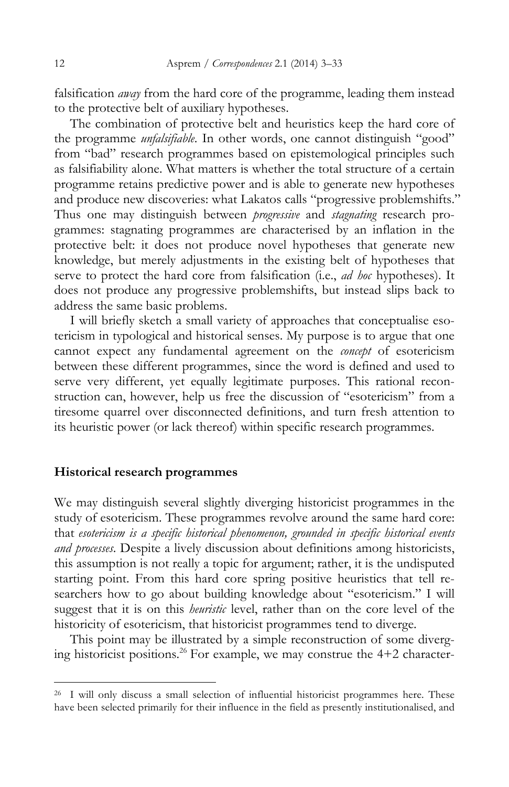falsification *away* from the hard core of the programme, leading them instead to the protective belt of auxiliary hypotheses.

The combination of protective belt and heuristics keep the hard core of the programme *unfalsifiable*. In other words, one cannot distinguish "good" from "bad" research programmes based on epistemological principles such as falsifiability alone. What matters is whether the total structure of a certain programme retains predictive power and is able to generate new hypotheses and produce new discoveries: what Lakatos calls "progressive problemshifts." Thus one may distinguish between *progressive* and *stagnating* research programmes: stagnating programmes are characterised by an inflation in the protective belt: it does not produce novel hypotheses that generate new knowledge, but merely adjustments in the existing belt of hypotheses that serve to protect the hard core from falsification (i.e., *ad hoc* hypotheses). It does not produce any progressive problemshifts, but instead slips back to address the same basic problems.

I will briefly sketch a small variety of approaches that conceptualise esotericism in typological and historical senses. My purpose is to argue that one cannot expect any fundamental agreement on the *concept* of esotericism between these different programmes, since the word is defined and used to serve very different, yet equally legitimate purposes. This rational reconstruction can, however, help us free the discussion of "esotericism" from a tiresome quarrel over disconnected definitions, and turn fresh attention to its heuristic power (or lack thereof) within specific research programmes.

#### **Historical research programmes**

We may distinguish several slightly diverging historicist programmes in the study of esotericism. These programmes revolve around the same hard core: that *esotericism is a specific historical phenomenon, grounded in specific historical events and processes*. Despite a lively discussion about definitions among historicists, this assumption is not really a topic for argument; rather, it is the undisputed starting point. From this hard core spring positive heuristics that tell researchers how to go about building knowledge about "esotericism." I will suggest that it is on this *heuristic* level, rather than on the core level of the historicity of esotericism, that historicist programmes tend to diverge.

This point may be illustrated by a simple reconstruction of some diverging historicist positions.<sup>26</sup> For example, we may construe the  $4+2$  character-

<sup>26</sup> I will only discuss a small selection of influential historicist programmes here. These have been selected primarily for their influence in the field as presently institutionalised, and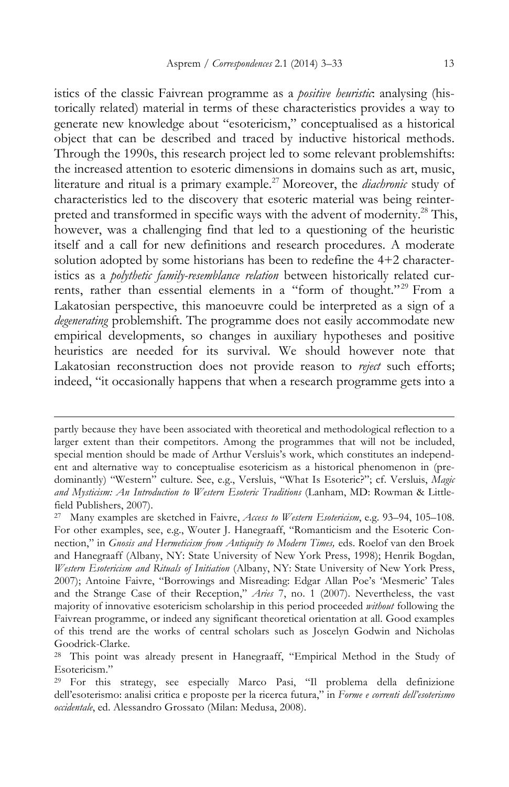istics of the classic Faivrean programme as a *positive heuristic*: analysing (historically related) material in terms of these characteristics provides a way to generate new knowledge about "esotericism," conceptualised as a historical object that can be described and traced by inductive historical methods. Through the 1990s, this research project led to some relevant problemshifts: the increased attention to esoteric dimensions in domains such as art, music, literature and ritual is a primary example.27 Moreover, the *diachronic* study of characteristics led to the discovery that esoteric material was being reinterpreted and transformed in specific ways with the advent of modernity.<sup>28</sup> This, however, was a challenging find that led to a questioning of the heuristic itself and a call for new definitions and research procedures. A moderate solution adopted by some historians has been to redefine the 4+2 characteristics as a *polythetic family-resemblance relation* between historically related currents, rather than essential elements in a "form of thought."<sup>29</sup> From a Lakatosian perspective, this manoeuvre could be interpreted as a sign of a *degenerating* problemshift. The programme does not easily accommodate new empirical developments, so changes in auxiliary hypotheses and positive heuristics are needed for its survival. We should however note that Lakatosian reconstruction does not provide reason to *reject* such efforts; indeed, "it occasionally happens that when a research programme gets into a

partly because they have been associated with theoretical and methodological reflection to a larger extent than their competitors. Among the programmes that will not be included, special mention should be made of Arthur Versluis's work, which constitutes an independent and alternative way to conceptualise esotericism as a historical phenomenon in (predominantly) "Western" culture. See, e.g., Versluis, "What Is Esoteric?"; cf. Versluis, *Magic and Mysticism: An Introduction to Western Esoteric Traditions* (Lanham, MD: Rowman & Littlefield Publishers, 2007).

<sup>27</sup> Many examples are sketched in Faivre, *Access to Western Esotericism*, e.g. 93–94, 105–108. For other examples, see, e.g., Wouter J. Hanegraaff, "Romanticism and the Esoteric Connection," in *Gnosis and Hermeticism from Antiquity to Modern Times,* eds. Roelof van den Broek and Hanegraaff (Albany, NY: State University of New York Press, 1998); Henrik Bogdan, *Western Esotericism and Rituals of Initiation* (Albany, NY: State University of New York Press, 2007); Antoine Faivre, "Borrowings and Misreading: Edgar Allan Poe's 'Mesmeric' Tales and the Strange Case of their Reception," *Aries* 7, no. 1 (2007). Nevertheless, the vast majority of innovative esotericism scholarship in this period proceeded *without* following the Faivrean programme, or indeed any significant theoretical orientation at all. Good examples of this trend are the works of central scholars such as Joscelyn Godwin and Nicholas Goodrick-Clarke.<br><sup>28</sup> This point was already present in Hanegraaff, "Empirical Method in the Study of

Esotericism."

<sup>29</sup> For this strategy, see especially Marco Pasi, "Il problema della definizione dell'esoterismo: analisi critica e proposte per la ricerca futura," in *Forme e correnti dell'esoterismo occidentale*, ed. Alessandro Grossato (Milan: Medusa, 2008).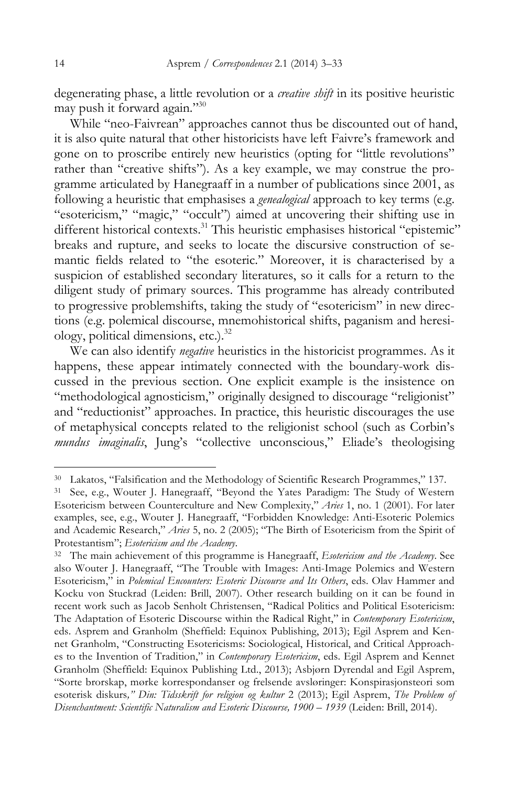degenerating phase, a little revolution or a *creative shift* in its positive heuristic may push it forward again."30

While "neo-Faivrean" approaches cannot thus be discounted out of hand, it is also quite natural that other historicists have left Faivre's framework and gone on to proscribe entirely new heuristics (opting for "little revolutions" rather than "creative shifts"). As a key example, we may construe the programme articulated by Hanegraaff in a number of publications since 2001, as following a heuristic that emphasises a *genealogical* approach to key terms (e.g. "esotericism," "magic," "occult") aimed at uncovering their shifting use in different historical contexts.<sup>31</sup> This heuristic emphasises historical "epistemic" breaks and rupture, and seeks to locate the discursive construction of semantic fields related to "the esoteric." Moreover, it is characterised by a suspicion of established secondary literatures, so it calls for a return to the diligent study of primary sources. This programme has already contributed to progressive problemshifts, taking the study of "esotericism" in new directions (e.g. polemical discourse, mnemohistorical shifts, paganism and heresiology, political dimensions, etc.).<sup>32</sup>

We can also identify *negative* heuristics in the historicist programmes. As it happens, these appear intimately connected with the boundary-work discussed in the previous section. One explicit example is the insistence on "methodological agnosticism," originally designed to discourage "religionist" and "reductionist" approaches. In practice, this heuristic discourages the use of metaphysical concepts related to the religionist school (such as Corbin's *mundus imaginalis*, Jung's "collective unconscious," Eliade's theologising

<sup>30</sup> Lakatos, "Falsification and the Methodology of Scientific Research Programmes," 137.

<sup>31</sup> See, e.g., Wouter J. Hanegraaff, "Beyond the Yates Paradigm: The Study of Western Esotericism between Counterculture and New Complexity," *Aries* 1, no. 1 (2001). For later examples, see, e.g., Wouter J. Hanegraaff, "Forbidden Knowledge: Anti-Esoteric Polemics and Academic Research," *Aries* 5, no. 2 (2005); "The Birth of Esotericism from the Spirit of Protestantism"; *Esotericism and the Academy*.

<sup>32</sup> The main achievement of this programme is Hanegraaff, *Esotericism and the Academy*. See also Wouter J. Hanegraaff, "The Trouble with Images: Anti-Image Polemics and Western Esotericism," in *Polemical Encounters: Esoteric Discourse and Its Others*, eds. Olav Hammer and Kocku von Stuckrad (Leiden: Brill, 2007). Other research building on it can be found in recent work such as Jacob Senholt Christensen, "Radical Politics and Political Esotericism: The Adaptation of Esoteric Discourse within the Radical Right," in *Contemporary Esotericism*, eds. Asprem and Granholm (Sheffield: Equinox Publishing, 2013); Egil Asprem and Kennet Granholm, "Constructing Esotericisms: Sociological, Historical, and Critical Approaches to the Invention of Tradition," in *Contemporary Esotericism*, eds. Egil Asprem and Kennet Granholm (Sheffield: Equinox Publishing Ltd., 2013); Asbjørn Dyrendal and Egil Asprem, "Sorte brorskap, mørke korrespondanser og frelsende avsløringer: Konspirasjonsteori som esoterisk diskurs*," Din: Tidsskrift for religion og kultur* 2 (2013); Egil Asprem, *The Problem of Disenchantment: Scientific Naturalism and Esoteric Discourse, 1900 – 1939* (Leiden: Brill, 2014).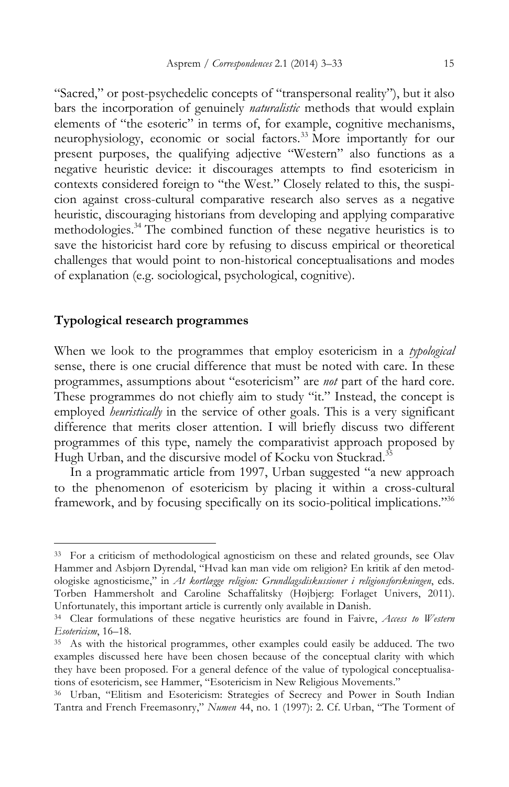"Sacred," or post-psychedelic concepts of "transpersonal reality"), but it also bars the incorporation of genuinely *naturalistic* methods that would explain elements of "the esoteric" in terms of, for example, cognitive mechanisms, neurophysiology, economic or social factors.33 More importantly for our present purposes, the qualifying adjective "Western" also functions as a negative heuristic device: it discourages attempts to find esotericism in contexts considered foreign to "the West." Closely related to this, the suspicion against cross-cultural comparative research also serves as a negative heuristic, discouraging historians from developing and applying comparative methodologies.34 The combined function of these negative heuristics is to save the historicist hard core by refusing to discuss empirical or theoretical challenges that would point to non-historical conceptualisations and modes of explanation (e.g. sociological, psychological, cognitive).

#### **Typological research programmes**

 $\overline{a}$ 

When we look to the programmes that employ esotericism in a *typological* sense, there is one crucial difference that must be noted with care. In these programmes, assumptions about "esotericism" are *not* part of the hard core. These programmes do not chiefly aim to study "it." Instead, the concept is employed *heuristically* in the service of other goals. This is a very significant difference that merits closer attention. I will briefly discuss two different programmes of this type, namely the comparativist approach proposed by Hugh Urban, and the discursive model of Kocku von Stuckrad.<sup>35</sup>

In a programmatic article from 1997, Urban suggested "a new approach to the phenomenon of esotericism by placing it within a cross-cultural framework, and by focusing specifically on its socio-political implications."36

<sup>&</sup>lt;sup>33</sup> For a criticism of methodological agnosticism on these and related grounds, see Olav Hammer and Asbjørn Dyrendal, "Hvad kan man vide om religion? En kritik af den metodologiske agnosticisme," in *At kortlægge religion: Grundlagsdiskussioner i religionsforskningen*, eds. Torben Hammersholt and Caroline Schaffalitsky (Højbjerg: Forlaget Univers, 2011). Unfortunately, this important article is currently only available in Danish.

<sup>34</sup> Clear formulations of these negative heuristics are found in Faivre, *Access to Western Esotericism*, 16–18.

<sup>&</sup>lt;sup>35</sup> As with the historical programmes, other examples could easily be adduced. The two examples discussed here have been chosen because of the conceptual clarity with which they have been proposed. For a general defence of the value of typological conceptualisations of esotericism, see Hammer, "Esotericism in New Religious Movements."

<sup>36</sup> Urban, "Elitism and Esotericism: Strategies of Secrecy and Power in South Indian Tantra and French Freemasonry," *Numen* 44, no. 1 (1997): 2. Cf. Urban, "The Torment of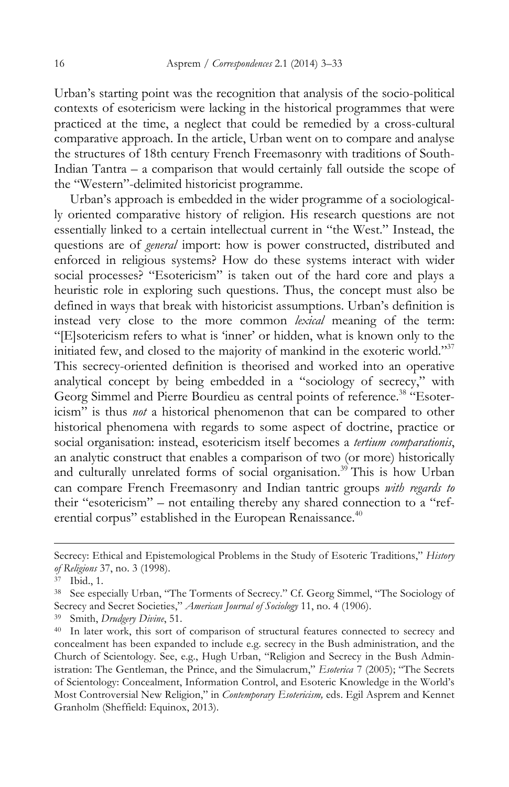Urban's starting point was the recognition that analysis of the socio-political contexts of esotericism were lacking in the historical programmes that were practiced at the time, a neglect that could be remedied by a cross-cultural comparative approach. In the article, Urban went on to compare and analyse the structures of 18th century French Freemasonry with traditions of South-Indian Tantra – a comparison that would certainly fall outside the scope of the "Western"-delimited historicist programme.

Urban's approach is embedded in the wider programme of a sociologically oriented comparative history of religion. His research questions are not essentially linked to a certain intellectual current in "the West." Instead, the questions are of *general* import: how is power constructed, distributed and enforced in religious systems? How do these systems interact with wider social processes? "Esotericism" is taken out of the hard core and plays a heuristic role in exploring such questions. Thus, the concept must also be defined in ways that break with historicist assumptions. Urban's definition is instead very close to the more common *lexical* meaning of the term: "[E]sotericism refers to what is 'inner' or hidden, what is known only to the initiated few, and closed to the majority of mankind in the exoteric world."37 This secrecy-oriented definition is theorised and worked into an operative analytical concept by being embedded in a "sociology of secrecy," with Georg Simmel and Pierre Bourdieu as central points of reference.<sup>38</sup> "Esotericism" is thus *not* a historical phenomenon that can be compared to other historical phenomena with regards to some aspect of doctrine, practice or social organisation: instead, esotericism itself becomes a *tertium comparationis*, an analytic construct that enables a comparison of two (or more) historically and culturally unrelated forms of social organisation.<sup>39</sup> This is how Urban can compare French Freemasonry and Indian tantric groups *with regards to*  their "esotericism" – not entailing thereby any shared connection to a "referential corpus" established in the European Renaissance.<sup>40</sup>

Secrecy: Ethical and Epistemological Problems in the Study of Esoteric Traditions," *History of Religions* 37, no. 3 (1998).

<sup>37</sup> Ibid., 1.

<sup>38</sup> See especially Urban, "The Torments of Secrecy." Cf. Georg Simmel, "The Sociology of Secrecy and Secret Societies," *American Journal of Sociology* 11, no. 4 (1906).

<sup>39</sup> Smith, *Drudgery Divine*, 51.

<sup>40</sup> In later work, this sort of comparison of structural features connected to secrecy and concealment has been expanded to include e.g. secrecy in the Bush administration, and the Church of Scientology. See, e.g., Hugh Urban, "Religion and Secrecy in the Bush Administration: The Gentleman, the Prince, and the Simulacrum," *Esoterica* 7 (2005); "The Secrets of Scientology: Concealment, Information Control, and Esoteric Knowledge in the World's Most Controversial New Religion," in *Contemporary Esotericism,* eds. Egil Asprem and Kennet Granholm (Sheffield: Equinox, 2013).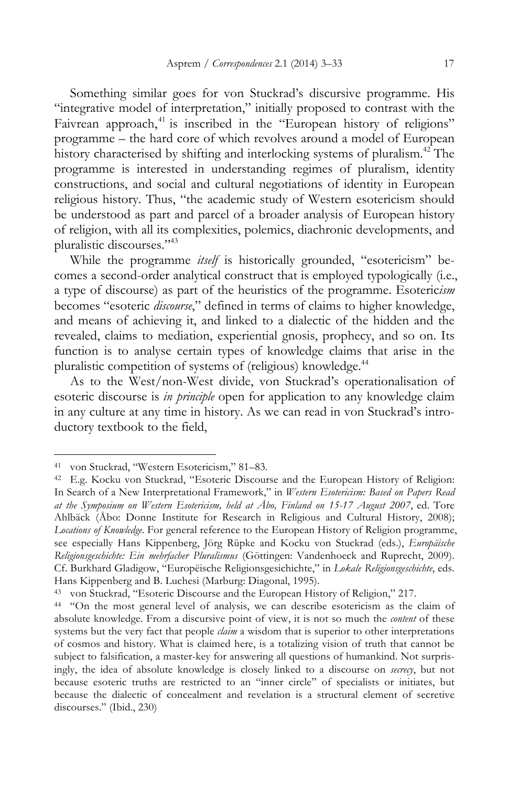Something similar goes for von Stuckrad's discursive programme. His "integrative model of interpretation," initially proposed to contrast with the Faivrean approach,<sup>41</sup> is inscribed in the "European history of religions" programme – the hard core of which revolves around a model of European history characterised by shifting and interlocking systems of pluralism.<sup>42</sup> The programme is interested in understanding regimes of pluralism, identity constructions, and social and cultural negotiations of identity in European religious history. Thus, "the academic study of Western esotericism should be understood as part and parcel of a broader analysis of European history of religion, with all its complexities, polemics, diachronic developments, and pluralistic discourses."43

While the programme *itself* is historically grounded, "esotericism" becomes a second-order analytical construct that is employed typologically (i.e., a type of discourse) as part of the heuristics of the programme. Esoteric*ism*  becomes "esoteric *discourse*," defined in terms of claims to higher knowledge, and means of achieving it, and linked to a dialectic of the hidden and the revealed, claims to mediation, experiential gnosis, prophecy, and so on. Its function is to analyse certain types of knowledge claims that arise in the pluralistic competition of systems of (religious) knowledge.<sup>44</sup>

As to the West/non-West divide, von Stuckrad's operationalisation of esoteric discourse is *in principle* open for application to any knowledge claim in any culture at any time in history. As we can read in von Stuckrad's introductory textbook to the field,

<sup>41</sup> von Stuckrad, "Western Esotericism," 81–83.

<sup>42</sup> E.g. Kocku von Stuckrad, "Esoteric Discourse and the European History of Religion: In Search of a New Interpretational Framework," in *Western Esotericism: Based on Papers Read at the Symposium on Western Esotericism, held at Åbo, Finland on 15-17 August 2007*, ed. Tore Ahlbäck (Åbo: Donne Institute for Research in Religious and Cultural History, 2008); *Locations of Knowledge*. For general reference to the European History of Religion programme, see especially Hans Kippenberg, Jörg Rüpke and Kocku von Stuckrad (eds.), *Europäische Religionsgeschichte: Ein mehrfacher Pluralismus* (Göttingen: Vandenhoeck and Ruprecht, 2009). Cf. Burkhard Gladigow, "Europëische Religionsgesichichte," in *Lokale Religionsgeschichte*, eds. Hans Kippenberg and B. Luchesi (Marburg: Diagonal, 1995).

<sup>43</sup> von Stuckrad, "Esoteric Discourse and the European History of Religion," 217.

<sup>44</sup> "On the most general level of analysis, we can describe esotericism as the claim of absolute knowledge. From a discursive point of view, it is not so much the *content* of these systems but the very fact that people *claim* a wisdom that is superior to other interpretations of cosmos and history. What is claimed here, is a totalizing vision of truth that cannot be subject to falsification, a master-key for answering all questions of humankind. Not surprisingly, the idea of absolute knowledge is closely linked to a discourse on *secrecy*, but not because esoteric truths are restricted to an "inner circle" of specialists or initiates, but because the dialectic of concealment and revelation is a structural element of secretive discourses." (Ibid., 230)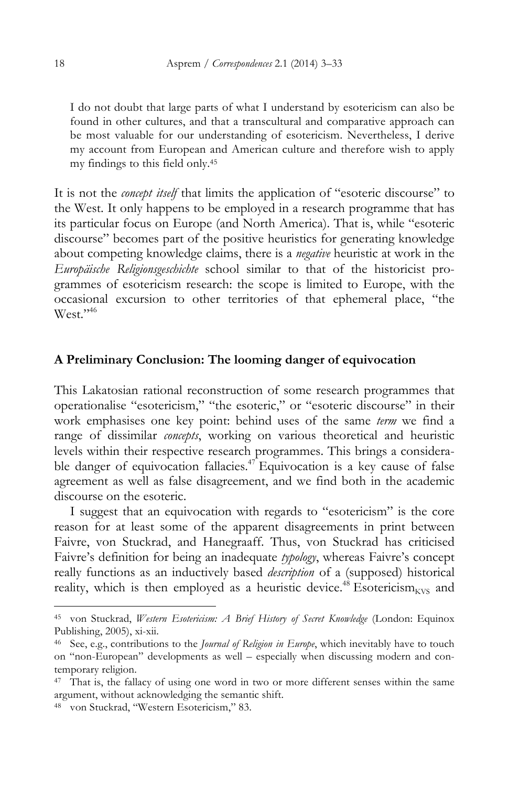I do not doubt that large parts of what I understand by esotericism can also be found in other cultures, and that a transcultural and comparative approach can be most valuable for our understanding of esotericism. Nevertheless, I derive my account from European and American culture and therefore wish to apply my findings to this field only.45

It is not the *concept itself* that limits the application of "esoteric discourse" to the West. It only happens to be employed in a research programme that has its particular focus on Europe (and North America). That is, while "esoteric discourse" becomes part of the positive heuristics for generating knowledge about competing knowledge claims, there is a *negative* heuristic at work in the *Europäische Religionsgeschichte* school similar to that of the historicist programmes of esotericism research: the scope is limited to Europe, with the occasional excursion to other territories of that ephemeral place, "the West."<sup>46</sup>

### **A Preliminary Conclusion: The looming danger of equivocation**

This Lakatosian rational reconstruction of some research programmes that operationalise "esotericism," "the esoteric," or "esoteric discourse" in their work emphasises one key point: behind uses of the same *term* we find a range of dissimilar *concepts*, working on various theoretical and heuristic levels within their respective research programmes. This brings a considerable danger of equivocation fallacies.<sup>47</sup> Equivocation is a key cause of false agreement as well as false disagreement, and we find both in the academic discourse on the esoteric.

I suggest that an equivocation with regards to "esotericism" is the core reason for at least some of the apparent disagreements in print between Faivre, von Stuckrad, and Hanegraaff. Thus, von Stuckrad has criticised Faivre's definition for being an inadequate *typology*, whereas Faivre's concept really functions as an inductively based *description* of a (supposed) historical reality, which is then employed as a heuristic device.<sup>48</sup> Esotericism<sub>kVS</sub> and

<sup>45</sup> von Stuckrad, *Western Esotericism: A Brief History of Secret Knowledge* (London: Equinox Publishing, 2005), xi-xii.

<sup>46</sup> See, e.g., contributions to the *Journal of Religion in Europe*, which inevitably have to touch on "non-European" developments as well – especially when discussing modern and contemporary religion.

<sup>&</sup>lt;sup>47</sup> That is, the fallacy of using one word in two or more different senses within the same argument, without acknowledging the semantic shift.

<sup>48</sup> von Stuckrad, "Western Esotericism," 83.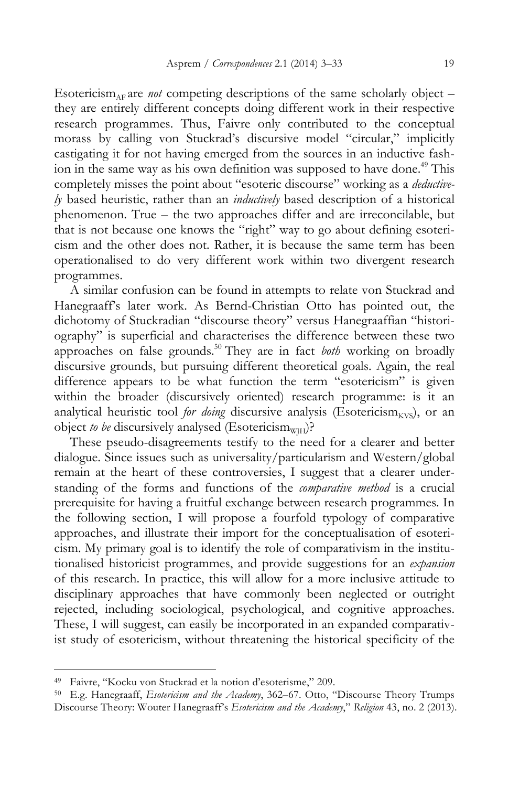Esotericism<sub>AF</sub> are *not* competing descriptions of the same scholarly object – they are entirely different concepts doing different work in their respective research programmes. Thus, Faivre only contributed to the conceptual morass by calling von Stuckrad's discursive model "circular," implicitly castigating it for not having emerged from the sources in an inductive fashion in the same way as his own definition was supposed to have done.<sup>49</sup> This completely misses the point about "esoteric discourse" working as a *deductively* based heuristic, rather than an *inductively* based description of a historical phenomenon. True – the two approaches differ and are irreconcilable, but that is not because one knows the "right" way to go about defining esotericism and the other does not. Rather, it is because the same term has been operationalised to do very different work within two divergent research programmes.

A similar confusion can be found in attempts to relate von Stuckrad and Hanegraaff's later work. As Bernd-Christian Otto has pointed out, the dichotomy of Stuckradian "discourse theory" versus Hanegraaffian "historiography" is superficial and characterises the difference between these two approaches on false grounds.50 They are in fact *both* working on broadly discursive grounds, but pursuing different theoretical goals. Again, the real difference appears to be what function the term "esotericism" is given within the broader (discursively oriented) research programme: is it an analytical heuristic tool *for doing* discursive analysis (Esotericism<sub>KVS</sub>), or an object *to be* discursively analysed (Esotericism<sub>WIH</sub>)?

These pseudo-disagreements testify to the need for a clearer and better dialogue. Since issues such as universality/particularism and Western/global remain at the heart of these controversies, I suggest that a clearer understanding of the forms and functions of the *comparative method* is a crucial prerequisite for having a fruitful exchange between research programmes*.* In the following section, I will propose a fourfold typology of comparative approaches, and illustrate their import for the conceptualisation of esotericism. My primary goal is to identify the role of comparativism in the institutionalised historicist programmes, and provide suggestions for an *expansion*  of this research. In practice, this will allow for a more inclusive attitude to disciplinary approaches that have commonly been neglected or outright rejected, including sociological, psychological, and cognitive approaches. These, I will suggest, can easily be incorporated in an expanded comparativist study of esotericism, without threatening the historical specificity of the

<sup>49</sup> Faivre, "Kocku von Stuckrad et la notion d'esoterisme," 209.

<sup>50</sup> E.g. Hanegraaff, *Esotericism and the Academy*, 362–67. Otto, "Discourse Theory Trumps Discourse Theory: Wouter Hanegraaff's *Esotericism and the Academy*," *Religion* 43, no. 2 (2013).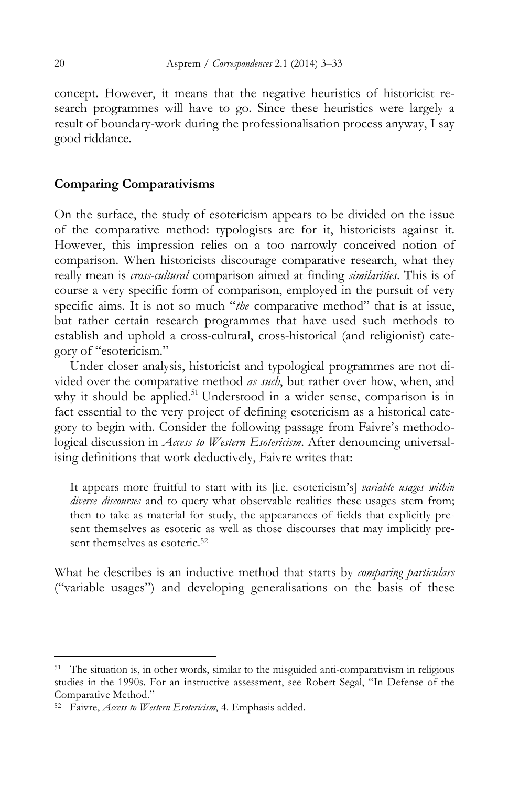concept. However, it means that the negative heuristics of historicist research programmes will have to go. Since these heuristics were largely a result of boundary-work during the professionalisation process anyway, I say good riddance.

# **Comparing Comparativisms**

On the surface, the study of esotericism appears to be divided on the issue of the comparative method: typologists are for it, historicists against it. However, this impression relies on a too narrowly conceived notion of comparison. When historicists discourage comparative research, what they really mean is *cross-cultural* comparison aimed at finding *similarities*. This is of course a very specific form of comparison, employed in the pursuit of very specific aims. It is not so much "*the* comparative method" that is at issue, but rather certain research programmes that have used such methods to establish and uphold a cross-cultural, cross-historical (and religionist) category of "esotericism."

Under closer analysis, historicist and typological programmes are not divided over the comparative method *as such*, but rather over how, when, and why it should be applied.<sup>51</sup> Understood in a wider sense, comparison is in fact essential to the very project of defining esotericism as a historical category to begin with. Consider the following passage from Faivre's methodological discussion in *Access to Western Esotericism*. After denouncing universalising definitions that work deductively, Faivre writes that:

It appears more fruitful to start with its [i.e. esotericism's] *variable usages within diverse discourses* and to query what observable realities these usages stem from; then to take as material for study, the appearances of fields that explicitly present themselves as esoteric as well as those discourses that may implicitly present themselves as esoteric.<sup>52</sup>

What he describes is an inductive method that starts by *comparing particulars*  ("variable usages") and developing generalisations on the basis of these

<sup>&</sup>lt;sup>51</sup> The situation is, in other words, similar to the misguided anti-comparativism in religious studies in the 1990s. For an instructive assessment, see Robert Segal, "In Defense of the Comparative Method."

<sup>52</sup> Faivre, *Access to Western Esotericism*, 4. Emphasis added.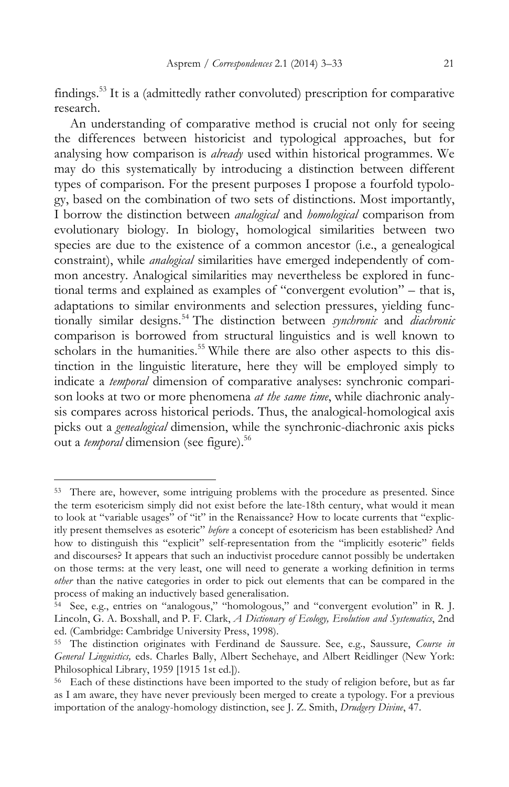findings.53 It is a (admittedly rather convoluted) prescription for comparative research.

An understanding of comparative method is crucial not only for seeing the differences between historicist and typological approaches, but for analysing how comparison is *already* used within historical programmes. We may do this systematically by introducing a distinction between different types of comparison. For the present purposes I propose a fourfold typology, based on the combination of two sets of distinctions. Most importantly, I borrow the distinction between *analogical* and *homological* comparison from evolutionary biology. In biology, homological similarities between two species are due to the existence of a common ancestor (i.e., a genealogical constraint), while *analogical* similarities have emerged independently of common ancestry. Analogical similarities may nevertheless be explored in functional terms and explained as examples of "convergent evolution" – that is, adaptations to similar environments and selection pressures, yielding functionally similar designs.<sup>54</sup> The distinction between *synchronic* and *diachronic* comparison is borrowed from structural linguistics and is well known to scholars in the humanities.<sup>55</sup> While there are also other aspects to this distinction in the linguistic literature, here they will be employed simply to indicate a *temporal* dimension of comparative analyses: synchronic comparison looks at two or more phenomena *at the same time*, while diachronic analysis compares across historical periods. Thus, the analogical-homological axis picks out a *genealogical* dimension, while the synchronic-diachronic axis picks out a *temporal* dimension (see figure).<sup>56</sup>

<sup>&</sup>lt;sup>53</sup> There are, however, some intriguing problems with the procedure as presented. Since the term esotericism simply did not exist before the late-18th century, what would it mean to look at "variable usages" of "it" in the Renaissance? How to locate currents that "explicitly present themselves as esoteric" *before* a concept of esotericism has been established? And how to distinguish this "explicit" self-representation from the "implicitly esoteric" fields and discourses? It appears that such an inductivist procedure cannot possibly be undertaken on those terms: at the very least, one will need to generate a working definition in terms *other* than the native categories in order to pick out elements that can be compared in the process of making an inductively based generalisation.

<sup>54</sup> See, e.g., entries on "analogous," "homologous," and "convergent evolution" in R. J. Lincoln, G. A. Boxshall, and P. F. Clark, *A Dictionary of Ecology, Evolution and Systematics*, 2nd ed. (Cambridge: Cambridge University Press, 1998).

<sup>55</sup> The distinction originates with Ferdinand de Saussure. See, e.g., Saussure, *Course in General Linguistics,* eds. Charles Bally, Albert Sechehaye, and Albert Reidlinger (New York: Philosophical Library, 1959 [1915 1st ed.]).

<sup>&</sup>lt;sup>56</sup> Each of these distinctions have been imported to the study of religion before, but as far as I am aware, they have never previously been merged to create a typology. For a previous importation of the analogy-homology distinction, see J. Z. Smith, *Drudgery Divine*, 47.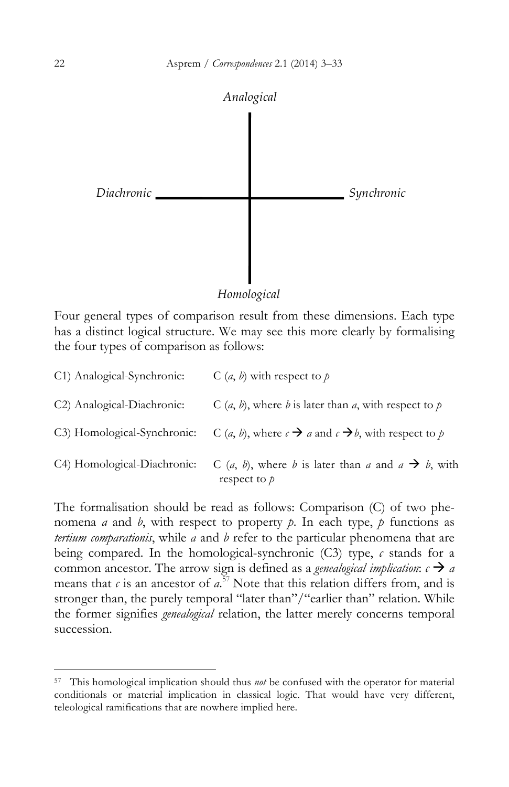

*Homological*

Four general types of comparison result from these dimensions. Each type has a distinct logical structure. We may see this more clearly by formalising the four types of comparison as follows:

| C1) Analogical-Synchronic:  | C $(a, b)$ with respect to p                                                                                    |
|-----------------------------|-----------------------------------------------------------------------------------------------------------------|
| C2) Analogical-Diachronic:  | C $(a, b)$ , where b is later than a, with respect to p                                                         |
| C3) Homological-Synchronic: | C ( <i>a</i> , <i>b</i> ), where $c \rightarrow a$ and $c \rightarrow b$ , with respect to p                    |
| C4) Homological-Diachronic: | C ( <i>a</i> , <i>b</i> ), where <i>b</i> is later than <i>a</i> and $a \rightarrow b$ , with<br>respect to $p$ |

The formalisation should be read as follows: Comparison (C) of two phenomena *a* and *b*, with respect to property *p*. In each type, *p* functions as *tertium comparationis*, while *a* and *b* refer to the particular phenomena that are being compared. In the homological-synchronic (C3) type, *c* stands for a common ancestor. The arrow sign is defined as a *genealogical implication*:  $c \rightarrow a$ means that  $c$  is an ancestor of  $a^{57}$  Note that this relation differs from, and is stronger than, the purely temporal "later than"/"earlier than" relation. While the former signifies *genealogical* relation, the latter merely concerns temporal succession.

<sup>57</sup> This homological implication should thus *not* be confused with the operator for material conditionals or material implication in classical logic. That would have very different, teleological ramifications that are nowhere implied here.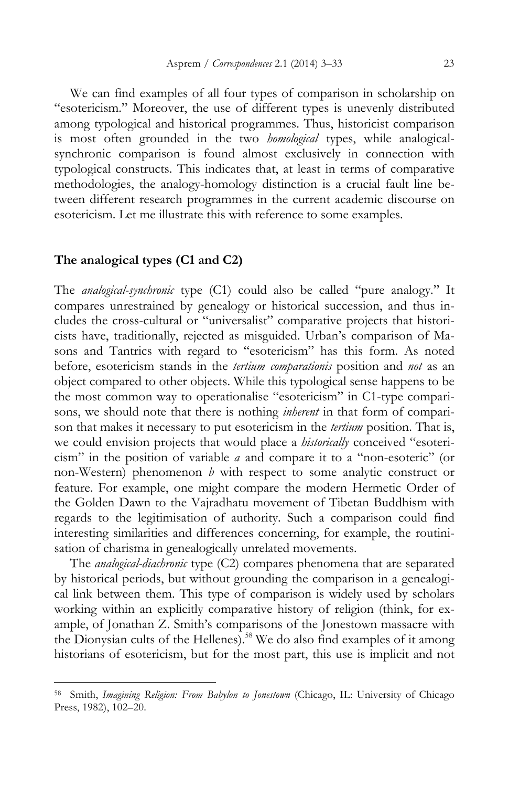We can find examples of all four types of comparison in scholarship on "esotericism." Moreover, the use of different types is unevenly distributed among typological and historical programmes. Thus, historicist comparison is most often grounded in the two *homological* types, while analogicalsynchronic comparison is found almost exclusively in connection with typological constructs. This indicates that, at least in terms of comparative methodologies, the analogy-homology distinction is a crucial fault line between different research programmes in the current academic discourse on esotericism. Let me illustrate this with reference to some examples.

### **The analogical types (C1 and C2)**

 $\overline{a}$ 

The *analogical-synchronic* type (C1) could also be called "pure analogy." It compares unrestrained by genealogy or historical succession, and thus includes the cross-cultural or "universalist" comparative projects that historicists have, traditionally, rejected as misguided. Urban's comparison of Masons and Tantrics with regard to "esotericism" has this form. As noted before, esotericism stands in the *tertium comparationis* position and *not* as an object compared to other objects. While this typological sense happens to be the most common way to operationalise "esotericism" in C1-type comparisons, we should note that there is nothing *inherent* in that form of comparison that makes it necessary to put esotericism in the *tertium* position. That is, we could envision projects that would place a *historically* conceived "esotericism" in the position of variable *a* and compare it to a "non-esoteric" (or non-Western) phenomenon *b* with respect to some analytic construct or feature. For example, one might compare the modern Hermetic Order of the Golden Dawn to the Vajradhatu movement of Tibetan Buddhism with regards to the legitimisation of authority. Such a comparison could find interesting similarities and differences concerning, for example, the routinisation of charisma in genealogically unrelated movements.

The *analogical-diachronic* type (C2) compares phenomena that are separated by historical periods, but without grounding the comparison in a genealogical link between them. This type of comparison is widely used by scholars working within an explicitly comparative history of religion (think, for example, of Jonathan Z. Smith's comparisons of the Jonestown massacre with the Dionysian cults of the Hellenes).<sup>58</sup> We do also find examples of it among historians of esotericism, but for the most part, this use is implicit and not

<sup>58</sup> Smith, *Imagining Religion: From Babylon to Jonestown* (Chicago, IL: University of Chicago Press, 1982), 102–20.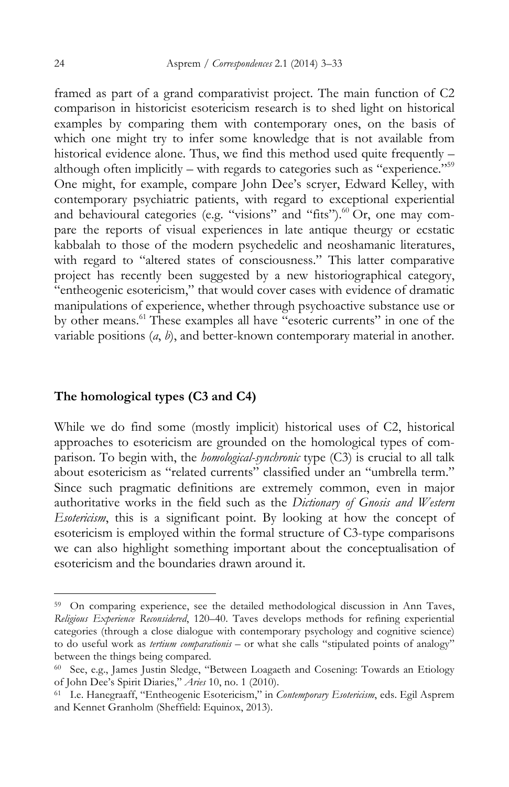framed as part of a grand comparativist project. The main function of C2 comparison in historicist esotericism research is to shed light on historical examples by comparing them with contemporary ones, on the basis of which one might try to infer some knowledge that is not available from historical evidence alone. Thus, we find this method used quite frequently – although often implicitly – with regards to categories such as "experience."59 One might, for example, compare John Dee's scryer, Edward Kelley, with contemporary psychiatric patients, with regard to exceptional experiential and behavioural categories (e.g. "visions" and "fits").<sup>60</sup> Or, one may compare the reports of visual experiences in late antique theurgy or ecstatic kabbalah to those of the modern psychedelic and neoshamanic literatures, with regard to "altered states of consciousness." This latter comparative project has recently been suggested by a new historiographical category, "entheogenic esotericism," that would cover cases with evidence of dramatic manipulations of experience, whether through psychoactive substance use or by other means.61 These examples all have "esoteric currents" in one of the variable positions (*a*, *b*), and better-known contemporary material in another.

# **The homological types (C3 and C4)**

While we do find some (mostly implicit) historical uses of C2, historical approaches to esotericism are grounded on the homological types of comparison. To begin with, the *homological-synchronic* type (C3) is crucial to all talk about esotericism as "related currents" classified under an "umbrella term." Since such pragmatic definitions are extremely common, even in major authoritative works in the field such as the *Dictionary of Gnosis and Western Esotericism*, this is a significant point. By looking at how the concept of esotericism is employed within the formal structure of C3-type comparisons we can also highlight something important about the conceptualisation of esotericism and the boundaries drawn around it.

<sup>&</sup>lt;sup>59</sup> On comparing experience, see the detailed methodological discussion in Ann Taves, *Religious Experience Reconsidered*, 120–40. Taves develops methods for refining experiential categories (through a close dialogue with contemporary psychology and cognitive science) to do useful work as *tertium comparationis* – or what she calls "stipulated points of analogy" between the things being compared.

<sup>60</sup> See, e.g., James Justin Sledge, "Between Loagaeth and Cosening: Towards an Etiology of John Dee's Spirit Diaries," *Aries* 10, no. 1 (2010).

<sup>61</sup> I.e. Hanegraaff, "Entheogenic Esotericism," in *Contemporary Esotericism*, eds. Egil Asprem and Kennet Granholm (Sheffield: Equinox, 2013).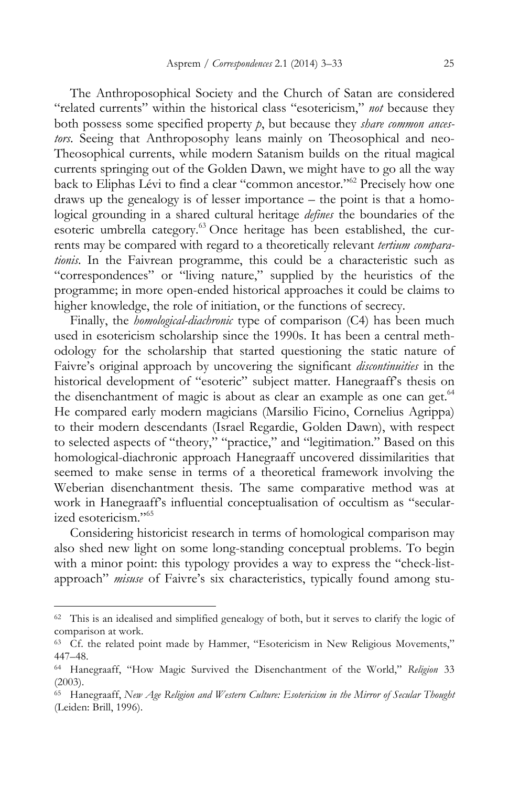The Anthroposophical Society and the Church of Satan are considered "related currents" within the historical class "esotericism," *not* because they both possess some specified property *p*, but because they *share common ancestors*. Seeing that Anthroposophy leans mainly on Theosophical and neo-Theosophical currents, while modern Satanism builds on the ritual magical currents springing out of the Golden Dawn, we might have to go all the way back to Eliphas Lévi to find a clear "common ancestor."62 Precisely how one draws up the genealogy is of lesser importance – the point is that a homological grounding in a shared cultural heritage *defines* the boundaries of the esoteric umbrella category.<sup>63</sup> Once heritage has been established, the currents may be compared with regard to a theoretically relevant *tertium comparationis*. In the Faivrean programme, this could be a characteristic such as "correspondences" or "living nature," supplied by the heuristics of the programme; in more open-ended historical approaches it could be claims to higher knowledge, the role of initiation, or the functions of secrecy.

Finally, the *homological-diachronic* type of comparison (C4) has been much used in esotericism scholarship since the 1990s. It has been a central methodology for the scholarship that started questioning the static nature of Faivre's original approach by uncovering the significant *discontinuities* in the historical development of "esoteric" subject matter. Hanegraaff's thesis on the disenchantment of magic is about as clear an example as one can get.<sup>64</sup> He compared early modern magicians (Marsilio Ficino, Cornelius Agrippa) to their modern descendants (Israel Regardie, Golden Dawn), with respect to selected aspects of "theory," "practice," and "legitimation." Based on this homological-diachronic approach Hanegraaff uncovered dissimilarities that seemed to make sense in terms of a theoretical framework involving the Weberian disenchantment thesis. The same comparative method was at work in Hanegraaff's influential conceptualisation of occultism as "secularized esotericism."65

Considering historicist research in terms of homological comparison may also shed new light on some long-standing conceptual problems. To begin with a minor point: this typology provides a way to express the "check-listapproach" *misuse* of Faivre's six characteristics, typically found among stu-

<sup>62</sup> This is an idealised and simplified genealogy of both, but it serves to clarify the logic of comparison at work.

<sup>63</sup> Cf. the related point made by Hammer, "Esotericism in New Religious Movements," 447–48.

<sup>64</sup> Hanegraaff, "How Magic Survived the Disenchantment of the World," *Religion* 33 (2003).

<sup>65</sup> Hanegraaff, *New Age Religion and Western Culture: Esotericism in the Mirror of Secular Thought* (Leiden: Brill, 1996).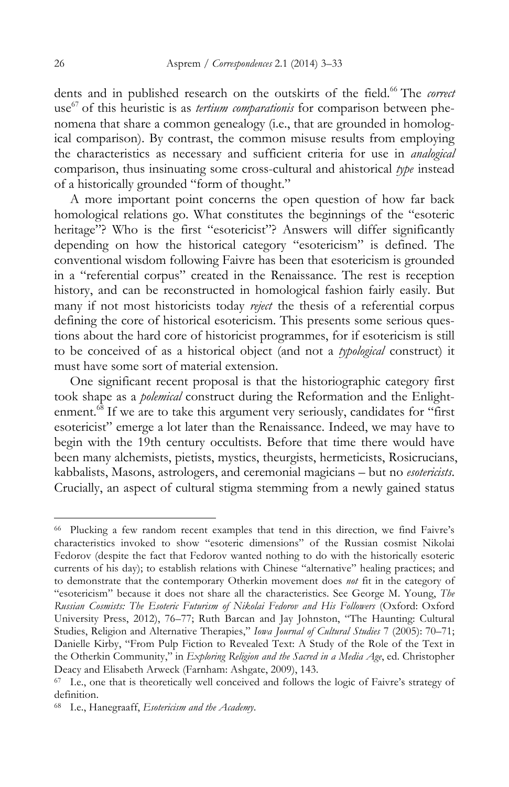dents and in published research on the outskirts of the field.<sup>66</sup> The *correct* use <sup>67</sup> of this heuristic is as *tertium comparationis* for comparison between phenomena that share a common genealogy (i.e., that are grounded in homological comparison). By contrast, the common misuse results from employing the characteristics as necessary and sufficient criteria for use in *analogical* comparison, thus insinuating some cross-cultural and ahistorical *type* instead of a historically grounded "form of thought."

A more important point concerns the open question of how far back homological relations go. What constitutes the beginnings of the "esoteric heritage"? Who is the first "esotericist"? Answers will differ significantly depending on how the historical category "esotericism" is defined. The conventional wisdom following Faivre has been that esotericism is grounded in a "referential corpus" created in the Renaissance. The rest is reception history, and can be reconstructed in homological fashion fairly easily. But many if not most historicists today *reject* the thesis of a referential corpus defining the core of historical esotericism. This presents some serious questions about the hard core of historicist programmes, for if esotericism is still to be conceived of as a historical object (and not a *typological* construct) it must have some sort of material extension.

One significant recent proposal is that the historiographic category first took shape as a *polemical* construct during the Reformation and the Enlightenment.<sup>68</sup> If we are to take this argument very seriously, candidates for "first" esotericist" emerge a lot later than the Renaissance. Indeed, we may have to begin with the 19th century occultists. Before that time there would have been many alchemists, pietists, mystics, theurgists, hermeticists, Rosicrucians, kabbalists, Masons, astrologers, and ceremonial magicians – but no *esotericists*. Crucially, an aspect of cultural stigma stemming from a newly gained status

<sup>66</sup> Plucking a few random recent examples that tend in this direction, we find Faivre's characteristics invoked to show "esoteric dimensions" of the Russian cosmist Nikolai Fedorov (despite the fact that Fedorov wanted nothing to do with the historically esoteric currents of his day); to establish relations with Chinese "alternative" healing practices; and to demonstrate that the contemporary Otherkin movement does *not* fit in the category of "esotericism" because it does not share all the characteristics. See George M. Young, *The Russian Cosmists: The Esoteric Futurism of Nikolai Fedorov and His Followers* (Oxford: Oxford University Press, 2012), 76–77; Ruth Barcan and Jay Johnston, "The Haunting: Cultural Studies, Religion and Alternative Therapies," *Iowa Journal of Cultural Studies* 7 (2005): 70–71; Danielle Kirby, "From Pulp Fiction to Revealed Text: A Study of the Role of the Text in the Otherkin Community," in *Exploring Religion and the Sacred in a Media Age*, ed. Christopher Deacy and Elisabeth Arweck (Farnham: Ashgate, 2009), 143.

<sup>&</sup>lt;sup>67</sup> I.e., one that is theoretically well conceived and follows the logic of Faivre's strategy of definition.

<sup>68</sup> I.e., Hanegraaff, *Esotericism and the Academy*.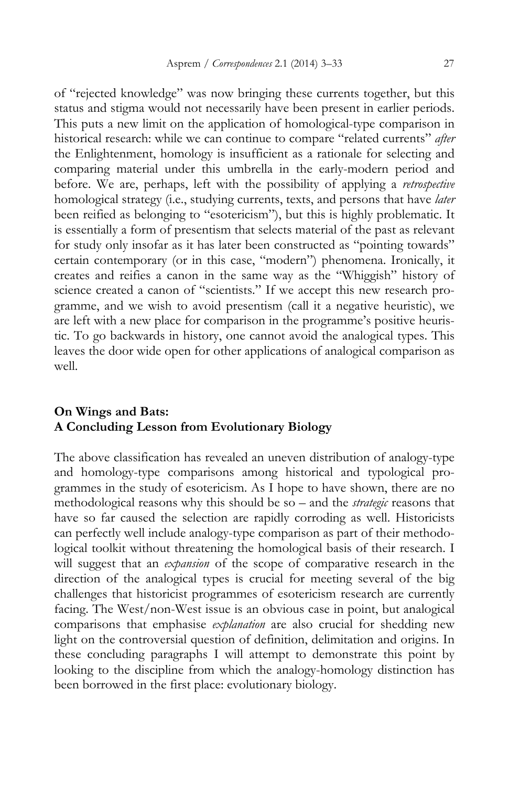of "rejected knowledge" was now bringing these currents together, but this status and stigma would not necessarily have been present in earlier periods. This puts a new limit on the application of homological-type comparison in historical research: while we can continue to compare "related currents" *after* the Enlightenment, homology is insufficient as a rationale for selecting and comparing material under this umbrella in the early-modern period and before. We are, perhaps, left with the possibility of applying a *retrospective*  homological strategy (i.e., studying currents, texts, and persons that have *later*  been reified as belonging to "esotericism"), but this is highly problematic. It is essentially a form of presentism that selects material of the past as relevant for study only insofar as it has later been constructed as "pointing towards" certain contemporary (or in this case, "modern") phenomena. Ironically, it creates and reifies a canon in the same way as the "Whiggish" history of science created a canon of "scientists." If we accept this new research programme, and we wish to avoid presentism (call it a negative heuristic), we are left with a new place for comparison in the programme's positive heuristic. To go backwards in history, one cannot avoid the analogical types. This leaves the door wide open for other applications of analogical comparison as well.

# **On Wings and Bats: A Concluding Lesson from Evolutionary Biology**

The above classification has revealed an uneven distribution of analogy-type and homology-type comparisons among historical and typological programmes in the study of esotericism. As I hope to have shown, there are no methodological reasons why this should be so – and the *strategic* reasons that have so far caused the selection are rapidly corroding as well. Historicists can perfectly well include analogy-type comparison as part of their methodological toolkit without threatening the homological basis of their research. I will suggest that an *expansion* of the scope of comparative research in the direction of the analogical types is crucial for meeting several of the big challenges that historicist programmes of esotericism research are currently facing. The West/non-West issue is an obvious case in point, but analogical comparisons that emphasise *explanation* are also crucial for shedding new light on the controversial question of definition, delimitation and origins. In these concluding paragraphs I will attempt to demonstrate this point by looking to the discipline from which the analogy-homology distinction has been borrowed in the first place: evolutionary biology.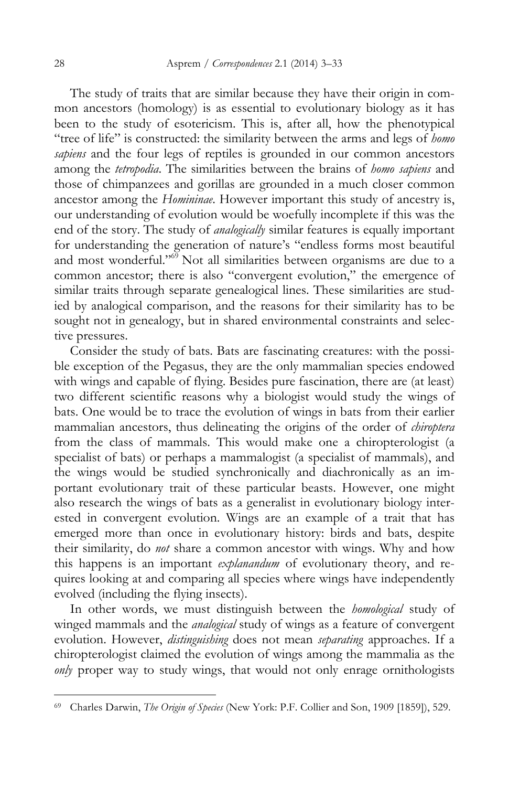The study of traits that are similar because they have their origin in common ancestors (homology) is as essential to evolutionary biology as it has been to the study of esotericism. This is, after all, how the phenotypical "tree of life" is constructed: the similarity between the arms and legs of *homo sapiens* and the four legs of reptiles is grounded in our common ancestors among the *tetropodia*. The similarities between the brains of *homo sapiens* and those of chimpanzees and gorillas are grounded in a much closer common ancestor among the *Homininae*. However important this study of ancestry is, our understanding of evolution would be woefully incomplete if this was the end of the story. The study of *analogically* similar features is equally important for understanding the generation of nature's "endless forms most beautiful and most wonderful."<sup>69</sup> Not all similarities between organisms are due to a common ancestor; there is also "convergent evolution," the emergence of similar traits through separate genealogical lines. These similarities are studied by analogical comparison, and the reasons for their similarity has to be sought not in genealogy, but in shared environmental constraints and selective pressures.

Consider the study of bats. Bats are fascinating creatures: with the possible exception of the Pegasus, they are the only mammalian species endowed with wings and capable of flying. Besides pure fascination, there are (at least) two different scientific reasons why a biologist would study the wings of bats. One would be to trace the evolution of wings in bats from their earlier mammalian ancestors, thus delineating the origins of the order of *chiroptera*  from the class of mammals. This would make one a chiropterologist (a specialist of bats) or perhaps a mammalogist (a specialist of mammals), and the wings would be studied synchronically and diachronically as an important evolutionary trait of these particular beasts. However, one might also research the wings of bats as a generalist in evolutionary biology interested in convergent evolution. Wings are an example of a trait that has emerged more than once in evolutionary history: birds and bats, despite their similarity, do *not* share a common ancestor with wings. Why and how this happens is an important *explanandum* of evolutionary theory, and requires looking at and comparing all species where wings have independently evolved (including the flying insects).

In other words, we must distinguish between the *homological* study of winged mammals and the *analogical* study of wings as a feature of convergent evolution. However, *distinguishing* does not mean *separating* approaches. If a chiropterologist claimed the evolution of wings among the mammalia as the *only* proper way to study wings, that would not only enrage ornithologists

<sup>69</sup> Charles Darwin, *The Origin of Species* (New York: P.F. Collier and Son, 1909 [1859]), 529.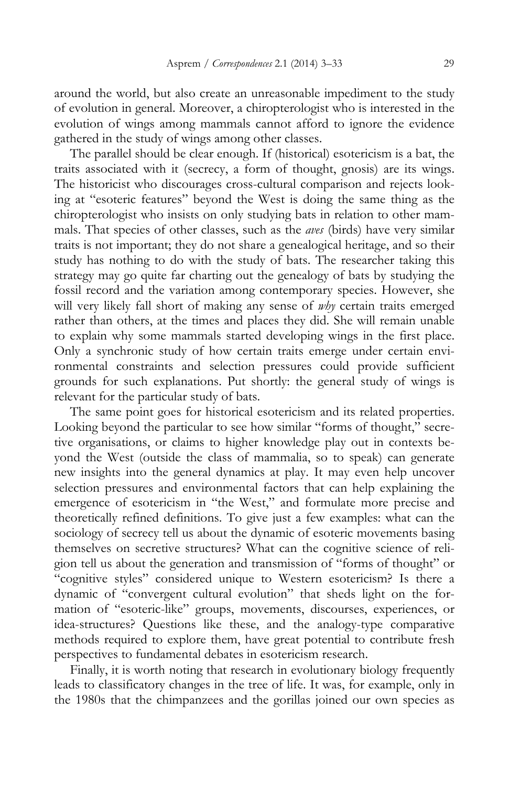around the world, but also create an unreasonable impediment to the study of evolution in general. Moreover, a chiropterologist who is interested in the evolution of wings among mammals cannot afford to ignore the evidence gathered in the study of wings among other classes.

The parallel should be clear enough. If (historical) esotericism is a bat, the traits associated with it (secrecy, a form of thought, gnosis) are its wings. The historicist who discourages cross-cultural comparison and rejects looking at "esoteric features" beyond the West is doing the same thing as the chiropterologist who insists on only studying bats in relation to other mammals. That species of other classes, such as the *aves* (birds) have very similar traits is not important; they do not share a genealogical heritage, and so their study has nothing to do with the study of bats. The researcher taking this strategy may go quite far charting out the genealogy of bats by studying the fossil record and the variation among contemporary species. However, she will very likely fall short of making any sense of *why* certain traits emerged rather than others, at the times and places they did. She will remain unable to explain why some mammals started developing wings in the first place. Only a synchronic study of how certain traits emerge under certain environmental constraints and selection pressures could provide sufficient grounds for such explanations. Put shortly: the general study of wings is relevant for the particular study of bats.

The same point goes for historical esotericism and its related properties. Looking beyond the particular to see how similar "forms of thought," secretive organisations, or claims to higher knowledge play out in contexts beyond the West (outside the class of mammalia, so to speak) can generate new insights into the general dynamics at play. It may even help uncover selection pressures and environmental factors that can help explaining the emergence of esotericism in "the West," and formulate more precise and theoretically refined definitions. To give just a few examples: what can the sociology of secrecy tell us about the dynamic of esoteric movements basing themselves on secretive structures? What can the cognitive science of religion tell us about the generation and transmission of "forms of thought" or "cognitive styles" considered unique to Western esotericism? Is there a dynamic of "convergent cultural evolution" that sheds light on the formation of "esoteric-like" groups, movements, discourses, experiences, or idea-structures? Questions like these, and the analogy-type comparative methods required to explore them, have great potential to contribute fresh perspectives to fundamental debates in esotericism research.

Finally, it is worth noting that research in evolutionary biology frequently leads to classificatory changes in the tree of life. It was, for example, only in the 1980s that the chimpanzees and the gorillas joined our own species as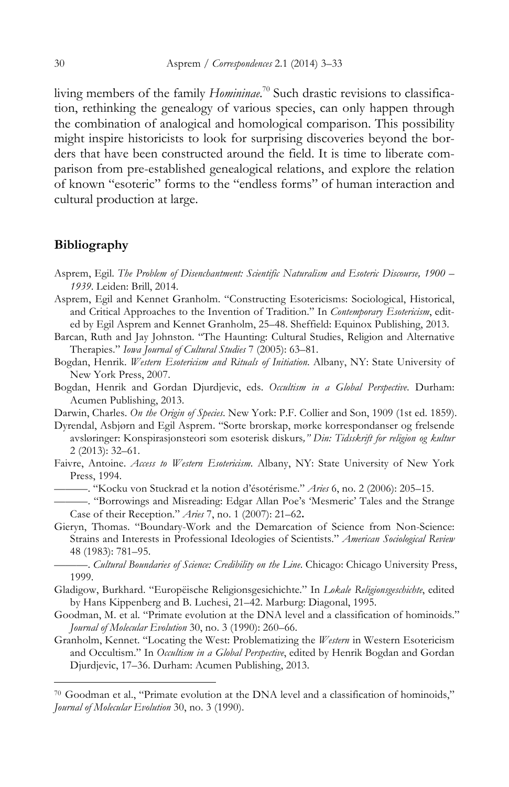living members of the family *Homininae*. <sup>70</sup> Such drastic revisions to classification, rethinking the genealogy of various species, can only happen through the combination of analogical and homological comparison. This possibility might inspire historicists to look for surprising discoveries beyond the borders that have been constructed around the field. It is time to liberate comparison from pre-established genealogical relations, and explore the relation of known "esoteric" forms to the "endless forms" of human interaction and cultural production at large.

## **Bibliography**

 $\overline{a}$ 

- Asprem, Egil. *The Problem of Disenchantment: Scientific Naturalism and Esoteric Discourse, 1900 – 1939*. Leiden: Brill, 2014.
- Asprem, Egil and Kennet Granholm. "Constructing Esotericisms: Sociological, Historical, and Critical Approaches to the Invention of Tradition." In *Contemporary Esotericism*, edited by Egil Asprem and Kennet Granholm, 25–48. Sheffield: Equinox Publishing, 2013.
- Barcan, Ruth and Jay Johnston. "The Haunting: Cultural Studies, Religion and Alternative Therapies." *Iowa Journal of Cultural Studies* 7 (2005): 63–81.
- Bogdan, Henrik. *Western Esotericism and Rituals of Initiation*. Albany, NY: State University of New York Press, 2007.
- Bogdan, Henrik and Gordan Djurdjevic, eds. *Occultism in a Global Perspective*. Durham: Acumen Publishing, 2013.

Darwin, Charles. *On the Origin of Species*. New York: P.F. Collier and Son, 1909 (1st ed. 1859).

- Dyrendal, Asbjørn and Egil Asprem. "Sorte brorskap, mørke korrespondanser og frelsende avsløringer: Konspirasjonsteori som esoterisk diskurs*," Din: Tidsskrift for religion og kultur*  2 (2013): 32–61.
- Faivre, Antoine. *Access to Western Esotericism*. Albany, NY: State University of New York Press, 1994.
	- ———. "Kocku von Stuckrad et la notion d'ésotérisme." *Aries* 6, no. 2 (2006): 205–15.
	- ———. "Borrowings and Misreading: Edgar Allan Poe's 'Mesmeric' Tales and the Strange Case of their Reception." *Aries* 7, no. 1 (2007): 21–62**.**
- Gieryn, Thomas. "Boundary-Work and the Demarcation of Science from Non-Science: Strains and Interests in Professional Ideologies of Scientists." *American Sociological Review*  48 (1983): 781–95.
	- ———. *Cultural Boundaries of Science: Credibility on the Line*. Chicago: Chicago University Press, 1999.
- Gladigow, Burkhard. "Europëische Religionsgesichichte." In *Lokale Religionsgeschichte*, edited by Hans Kippenberg and B. Luchesi, 21–42. Marburg: Diagonal, 1995.
- Goodman, M. et al. "Primate evolution at the DNA level and a classification of hominoids." *Journal of Molecular Evolution* 30, no. 3 (1990): 260–66.
- Granholm, Kennet. "Locating the West: Problematizing the *Western* in Western Esotericism and Occultism." In *Occultism in a Global Perspective*, edited by Henrik Bogdan and Gordan Djurdjevic, 17–36. Durham: Acumen Publishing, 2013.

<sup>70</sup> Goodman et al., "Primate evolution at the DNA level and a classification of hominoids," *Journal of Molecular Evolution* 30, no. 3 (1990).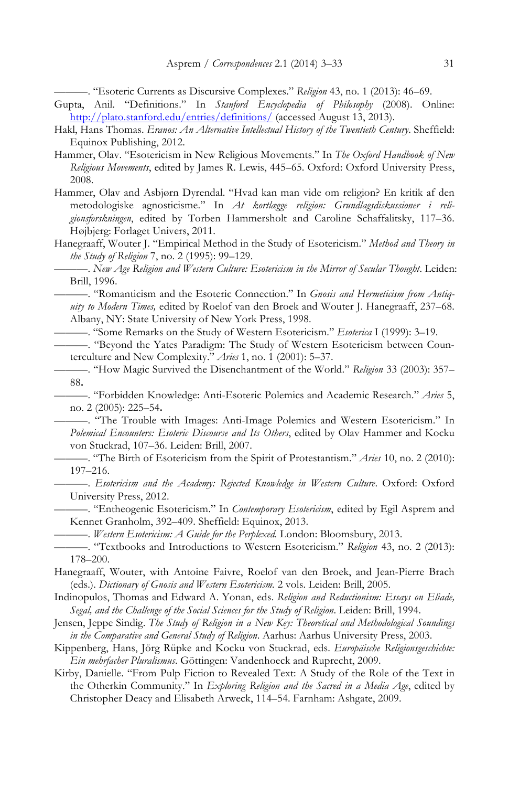———. "Esoteric Currents as Discursive Complexes." *Religion* 43, no. 1 (2013): 46–69.

- Gupta, Anil. "Definitions." In *Stanford Encyclopedia of Philosophy* (2008). Online: http://plato.stanford.edu/entries/definitions/ (accessed August 13, 2013).
- Hakl, Hans Thomas. *Eranos: An Alternative Intellectual History of the Twentieth Century*. Sheffield: Equinox Publishing, 2012.
- Hammer, Olav. "Esotericism in New Religious Movements." In *The Oxford Handbook of New Religious Movements*, edited by James R. Lewis, 445–65. Oxford: Oxford University Press, 2008.
- Hammer, Olav and Asbjørn Dyrendal. "Hvad kan man vide om religion? En kritik af den metodologiske agnosticisme." In *At kortlægge religion: Grundlagsdiskussioner i religionsforskningen*, edited by Torben Hammersholt and Caroline Schaffalitsky, 117–36. Højbjerg: Forlaget Univers, 2011.
- Hanegraaff, Wouter J. "Empirical Method in the Study of Esotericism." *Method and Theory in the Study of Religion* 7, no. 2 (1995): 99–129.

———. *New Age Religion and Western Culture: Esotericism in the Mirror of Secular Thought*. Leiden: Brill, 1996.

———. "Romanticism and the Esoteric Connection." In *Gnosis and Hermeticism from Antiquity to Modern Times,* edited by Roelof van den Broek and Wouter J. Hanegraaff, 237–68. Albany, NY: State University of New York Press, 1998.

———. "Some Remarks on the Study of Western Esotericism." *Esoterica* I (1999): 3–19.

———. "Beyond the Yates Paradigm: The Study of Western Esotericism between Counterculture and New Complexity." *Aries* 1, no. 1 (2001): 5–37.

- ———. "How Magic Survived the Disenchantment of the World." *Religion* 33 (2003): 357– 88**.**
- ———. "Forbidden Knowledge: Anti-Esoteric Polemics and Academic Research." *Aries* 5, no. 2 (2005): 225–54**.**

———. "The Trouble with Images: Anti-Image Polemics and Western Esotericism." In *Polemical Encounters: Esoteric Discourse and Its Others*, edited by Olav Hammer and Kocku von Stuckrad, 107–36. Leiden: Brill, 2007.

———. "The Birth of Esotericism from the Spirit of Protestantism." *Aries* 10, no. 2 (2010): 197–216.

———. *Esotericism and the Academy: Rejected Knowledge in Western Culture*. Oxford: Oxford University Press, 2012.

———. "Entheogenic Esotericism." In *Contemporary Esotericism*, edited by Egil Asprem and Kennet Granholm, 392–409. Sheffield: Equinox, 2013.

———. *Western Esotericism: A Guide for the Perplexed.* London: Bloomsbury, 2013.

———. "Textbooks and Introductions to Western Esotericism." *Religion* 43, no. 2 (2013): 178–200.

Hanegraaff, Wouter, with Antoine Faivre, Roelof van den Broek, and Jean-Pierre Brach (eds.). *Dictionary of Gnosis and Western Esotericism.* 2 vols. Leiden: Brill, 2005.

- Indinopulos, Thomas and Edward A. Yonan, eds. *Religion and Reductionism: Essays on Eliade, Segal, and the Challenge of the Social Sciences for the Study of Religion*. Leiden: Brill, 1994.
- Jensen, Jeppe Sindig. *The Study of Religion in a New Key: Theoretical and Methodological Soundings in the Comparative and General Study of Religion*. Aarhus: Aarhus University Press, 2003.
- Kippenberg, Hans, Jörg Rüpke and Kocku von Stuckrad, eds. *Europäische Religionsgeschichte: Ein mehrfacher Pluralismus*. Göttingen: Vandenhoeck and Ruprecht, 2009.
- Kirby, Danielle. "From Pulp Fiction to Revealed Text: A Study of the Role of the Text in the Otherkin Community." In *Exploring Religion and the Sacred in a Media Age*, edited by Christopher Deacy and Elisabeth Arweck, 114–54. Farnham: Ashgate, 2009.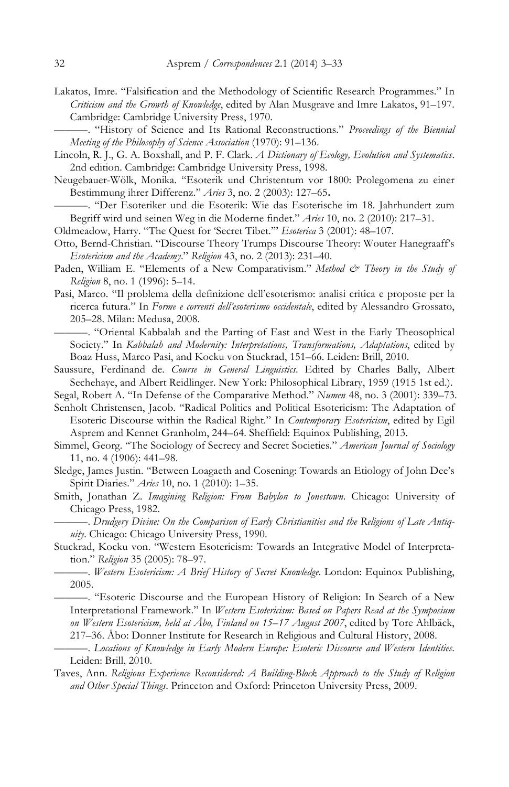Lakatos, Imre. "Falsification and the Methodology of Scientific Research Programmes." In *Criticism and the Growth of Knowledge*, edited by Alan Musgrave and Imre Lakatos, 91–197. Cambridge: Cambridge University Press, 1970.

———. "History of Science and Its Rational Reconstructions." *Proceedings of the Biennial Meeting of the Philosophy of Science Association* (1970): 91–136.

- Lincoln, R. J., G. A. Boxshall, and P. F. Clark. *A Dictionary of Ecology, Evolution and Systematics*. 2nd edition. Cambridge: Cambridge University Press, 1998.
- Neugebauer-Wölk, Monika. "Esoterik und Christentum vor 1800: Prolegomena zu einer Bestimmung ihrer Differenz." *Aries* 3, no. 2 (2003): 127–65**.**

———. "Der Esoteriker und die Esoterik: Wie das Esoterische im 18. Jahrhundert zum Begriff wird und seinen Weg in die Moderne findet." *Aries* 10, no. 2 (2010): 217–31.

- Oldmeadow, Harry. "The Quest for 'Secret Tibet.'" *Esoterica* 3 (2001): 48–107.
- Otto, Bernd-Christian. "Discourse Theory Trumps Discourse Theory: Wouter Hanegraaff's *Esotericism and the Academy*." *Religion* 43, no. 2 (2013): 231–40.
- Paden, William E. "Elements of a New Comparativism." Method & Theory in the Study of *Religion* 8, no. 1 (1996): 5–14.
- Pasi, Marco. "Il problema della definizione dell'esoterismo: analisi critica e proposte per la ricerca futura." In *Forme e correnti dell'esoterismo occidentale*, edited by Alessandro Grossato, 205–28. Milan: Medusa, 2008.
	- ———. "Oriental Kabbalah and the Parting of East and West in the Early Theosophical Society." In *Kabbalah and Modernity: Interpretations, Transformations, Adaptations*, edited by Boaz Huss, Marco Pasi, and Kocku von Stuckrad, 151–66. Leiden: Brill, 2010.
- Saussure, Ferdinand de. *Course in General Linguistics*. Edited by Charles Bally, Albert Sechehaye, and Albert Reidlinger. New York: Philosophical Library, 1959 (1915 1st ed.).
- Segal, Robert A. "In Defense of the Comparative Method." *Numen* 48, no. 3 (2001): 339–73.

Senholt Christensen, Jacob. "Radical Politics and Political Esotericism: The Adaptation of Esoteric Discourse within the Radical Right." In *Contemporary Esotericism*, edited by Egil Asprem and Kennet Granholm, 244–64. Sheffield: Equinox Publishing, 2013.

- Simmel, Georg. "The Sociology of Secrecy and Secret Societies." *American Journal of Sociology*  11, no. 4 (1906): 441–98.
- Sledge, James Justin. "Between Loagaeth and Cosening: Towards an Etiology of John Dee's Spirit Diaries." *Aries* 10, no. 1 (2010): 1–35.
- Smith, Jonathan Z. *Imagining Religion: From Babylon to Jonestown*. Chicago: University of Chicago Press, 1982.
- ———. *Drudgery Divine: On the Comparison of Early Christianities and the Religions of Late Antiquity*. Chicago: Chicago University Press, 1990.
- Stuckrad, Kocku von. "Western Esotericism: Towards an Integrative Model of Interpretation." *Religion* 35 (2005): 78–97.
	- ———. *Western Esotericism: A Brief History of Secret Knowledge*. London: Equinox Publishing, 2005.

———. "Esoteric Discourse and the European History of Religion: In Search of a New Interpretational Framework." In *Western Esotericism: Based on Papers Read at the Symposium on Western Esotericism, held at Åbo, Finland on 15–17 August 2007*, edited by Tore Ahlbäck, 217–36. Åbo: Donner Institute for Research in Religious and Cultural History, 2008.

- ———. *Locations of Knowledge in Early Modern Europe: Esoteric Discourse and Western Identities*. Leiden: Brill, 2010.
- Taves, Ann. *Religious Experience Reconsidered: A Building-Block Approach to the Study of Religion and Other Special Things*. Princeton and Oxford: Princeton University Press, 2009.